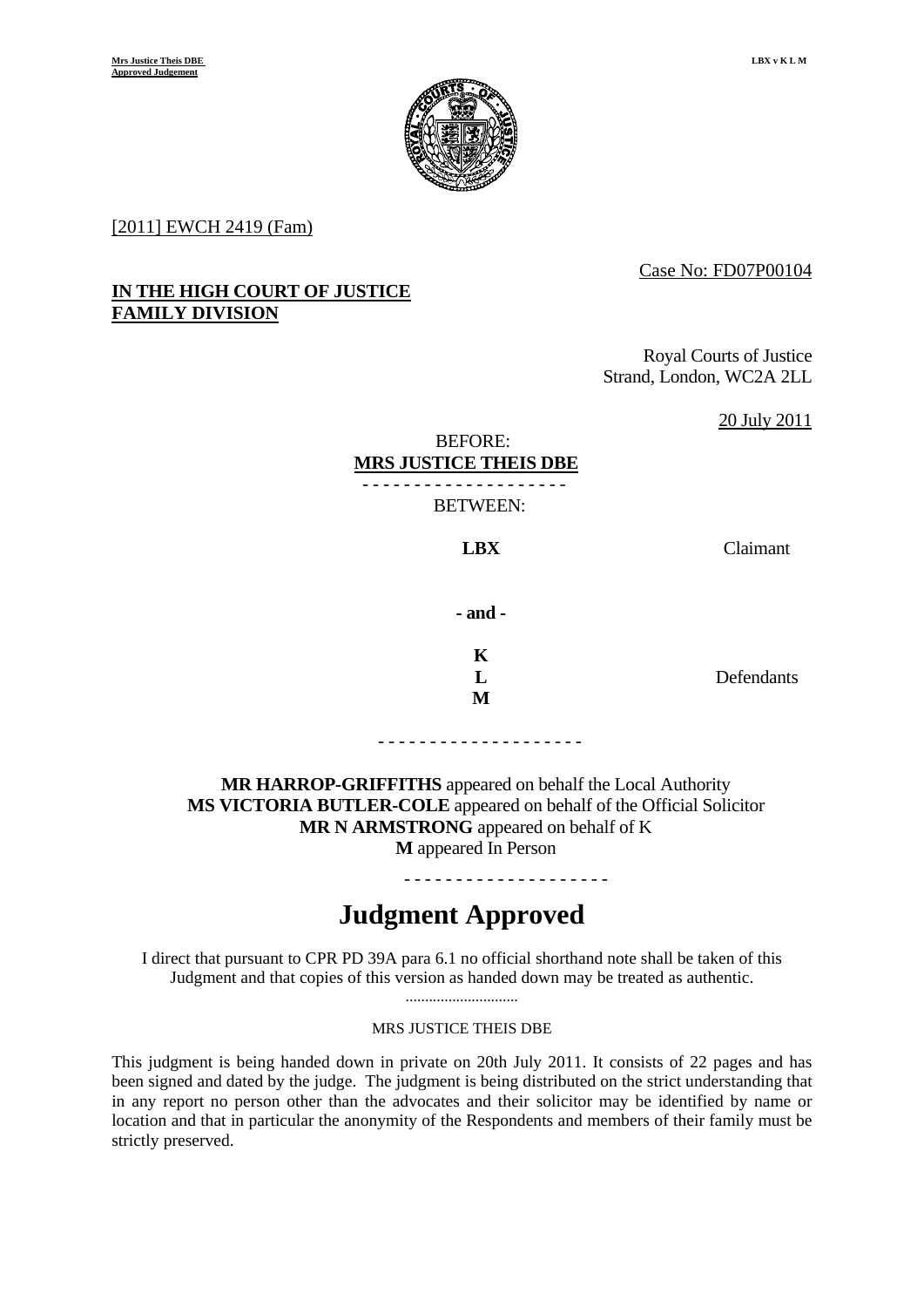

[2011] EWCH 2419 (Fam)

# Case No: FD07P00104

# **IN THE HIGH COURT OF JUSTICE FAMILY DIVISION**

Royal Courts of Justice Strand, London, WC2A 2LL

20 July 2011

#### BEFORE:  **MRS JUSTICE THEIS DBE** - - - - - - - - - - - - - - - - - - - -

BETWEEN:

**LBX** Claimant

**- and -** 

**K**   $\mathbf{L}$ **M** 

**Defendants** 

- - - - - - - - - - - - - - - - - - - -

**MR HARROP-GRIFFITHS** appeared on behalf the Local Authority **MS VICTORIA BUTLER-COLE** appeared on behalf of the Official Solicitor **MR N ARMSTRONG** appeared on behalf of K **M** appeared In Person

- - - - - - - - - - - - - - - - - - - -

**Judgment Approved** 

I direct that pursuant to CPR PD 39A para 6.1 no official shorthand note shall be taken of this Judgment and that copies of this version as handed down may be treated as authentic.

> ............................. MRS JUSTICE THEIS DBE

This judgment is being handed down in private on 20th July 2011. It consists of 22 pages and has been signed and dated by the judge. The judgment is being distributed on the strict understanding that in any report no person other than the advocates and their solicitor may be identified by name or location and that in particular the anonymity of the Respondents and members of their family must be strictly preserved.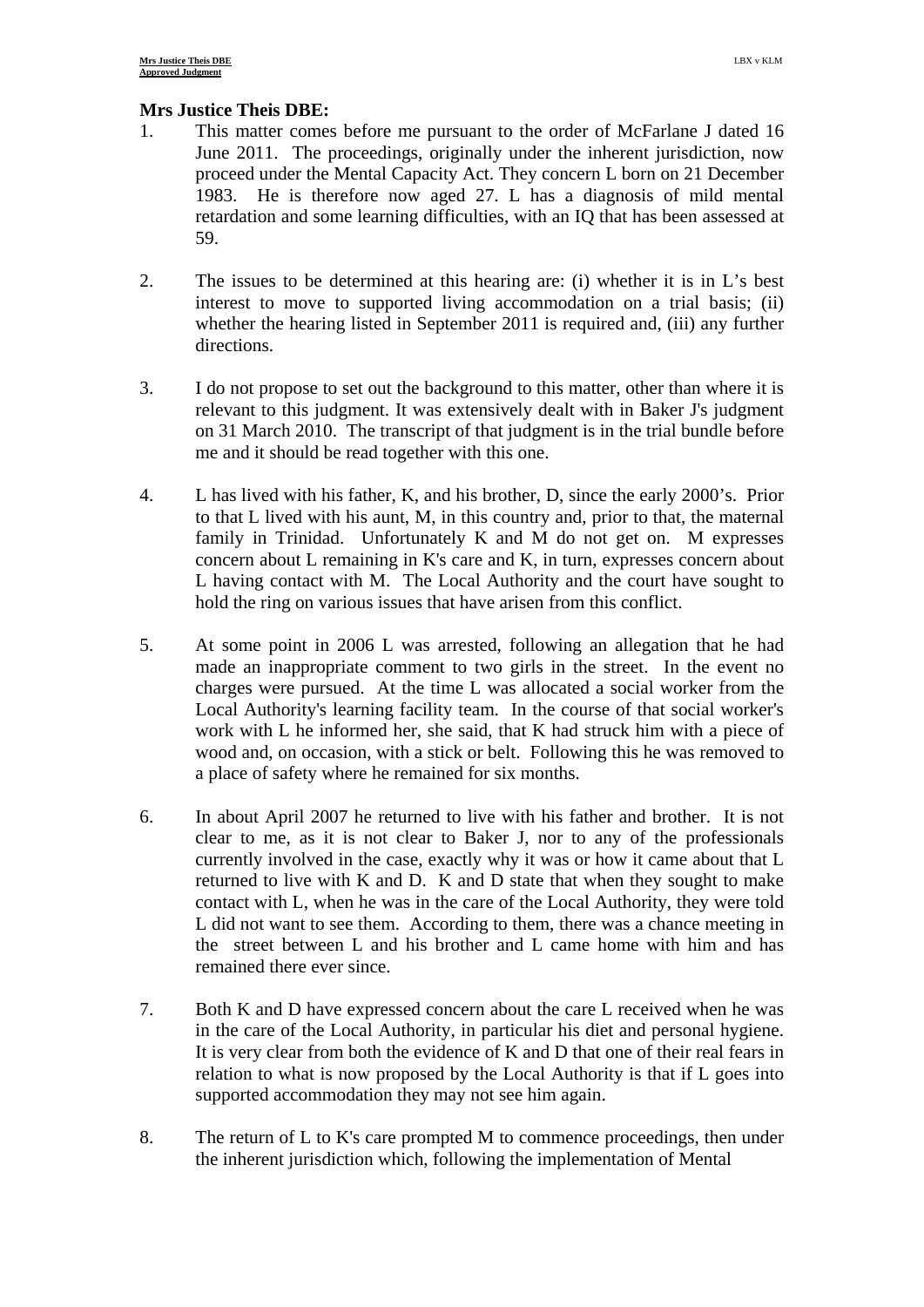# **Mrs Justice Theis DBE:**

- 1. This matter comes before me pursuant to the order of McFarlane J dated 16 June 2011. The proceedings, originally under the inherent jurisdiction, now proceed under the Mental Capacity Act. They concern L born on 21 December 1983. He is therefore now aged 27. L has a diagnosis of mild mental retardation and some learning difficulties, with an IQ that has been assessed at 59.
- 2. The issues to be determined at this hearing are: (i) whether it is in L's best interest to move to supported living accommodation on a trial basis; (ii) whether the hearing listed in September 2011 is required and, (iii) any further directions.
- 3. I do not propose to set out the background to this matter, other than where it is relevant to this judgment. It was extensively dealt with in Baker J's judgment on 31 March 2010. The transcript of that judgment is in the trial bundle before me and it should be read together with this one.
- 4. L has lived with his father, K, and his brother, D, since the early 2000's. Prior to that L lived with his aunt, M, in this country and, prior to that, the maternal family in Trinidad. Unfortunately K and M do not get on. M expresses concern about L remaining in K's care and K, in turn, expresses concern about L having contact with M. The Local Authority and the court have sought to hold the ring on various issues that have arisen from this conflict.
- 5. At some point in 2006 L was arrested, following an allegation that he had made an inappropriate comment to two girls in the street. In the event no charges were pursued. At the time L was allocated a social worker from the Local Authority's learning facility team. In the course of that social worker's work with L he informed her, she said, that K had struck him with a piece of wood and, on occasion, with a stick or belt. Following this he was removed to a place of safety where he remained for six months.
- 6. In about April 2007 he returned to live with his father and brother. It is not clear to me, as it is not clear to Baker J, nor to any of the professionals currently involved in the case, exactly why it was or how it came about that L returned to live with K and D. K and D state that when they sought to make contact with L, when he was in the care of the Local Authority, they were told L did not want to see them. According to them, there was a chance meeting in the street between L and his brother and L came home with him and has remained there ever since.
- 7. Both K and D have expressed concern about the care L received when he was in the care of the Local Authority, in particular his diet and personal hygiene. It is very clear from both the evidence of K and D that one of their real fears in relation to what is now proposed by the Local Authority is that if L goes into supported accommodation they may not see him again.
- 8. The return of L to K's care prompted M to commence proceedings, then under the inherent jurisdiction which, following the implementation of Mental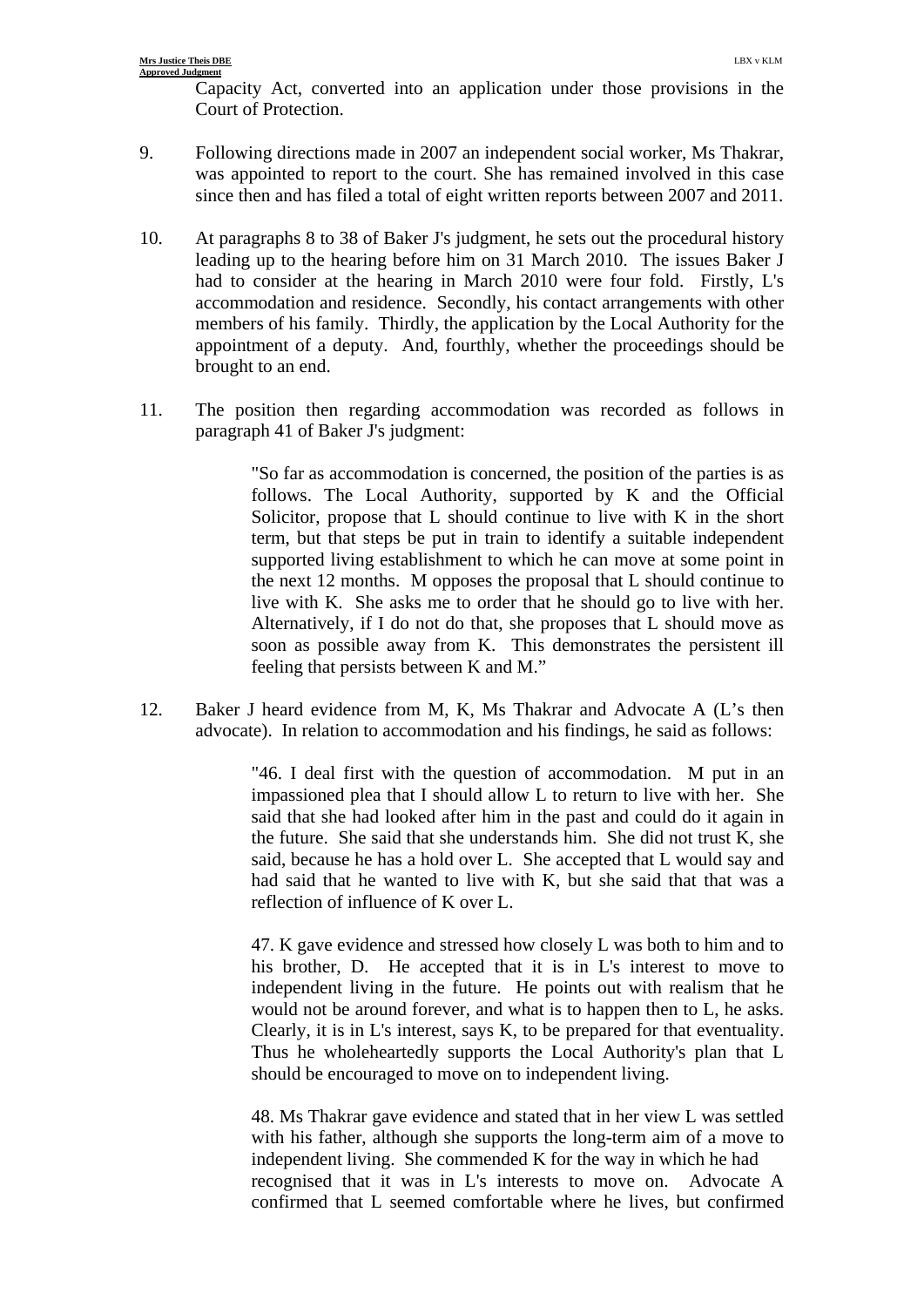Capacity Act, converted into an application under those provisions in the Court of Protection.

- 9. Following directions made in 2007 an independent social worker, Ms Thakrar, was appointed to report to the court. She has remained involved in this case since then and has filed a total of eight written reports between 2007 and 2011.
- 10. At paragraphs 8 to 38 of Baker J's judgment, he sets out the procedural history leading up to the hearing before him on 31 March 2010. The issues Baker J had to consider at the hearing in March 2010 were four fold. Firstly, L's accommodation and residence. Secondly, his contact arrangements with other members of his family. Thirdly, the application by the Local Authority for the appointment of a deputy. And, fourthly, whether the proceedings should be brought to an end.
- 11. The position then regarding accommodation was recorded as follows in paragraph 41 of Baker J's judgment:

"So far as accommodation is concerned, the position of the parties is as follows. The Local Authority, supported by K and the Official Solicitor, propose that L should continue to live with K in the short term, but that steps be put in train to identify a suitable independent supported living establishment to which he can move at some point in the next 12 months. M opposes the proposal that L should continue to live with K. She asks me to order that he should go to live with her. Alternatively, if I do not do that, she proposes that L should move as soon as possible away from K. This demonstrates the persistent ill feeling that persists between K and M."

12. Baker J heard evidence from M, K, Ms Thakrar and Advocate A (L's then advocate). In relation to accommodation and his findings, he said as follows:

> "46. I deal first with the question of accommodation. M put in an impassioned plea that I should allow L to return to live with her. She said that she had looked after him in the past and could do it again in the future. She said that she understands him. She did not trust K, she said, because he has a hold over L. She accepted that L would say and had said that he wanted to live with K, but she said that that was a reflection of influence of K over L.

> 47. K gave evidence and stressed how closely L was both to him and to his brother, D. He accepted that it is in L's interest to move to independent living in the future. He points out with realism that he would not be around forever, and what is to happen then to L, he asks. Clearly, it is in L's interest, says K, to be prepared for that eventuality. Thus he wholeheartedly supports the Local Authority's plan that L should be encouraged to move on to independent living.

> 48. Ms Thakrar gave evidence and stated that in her view L was settled with his father, although she supports the long-term aim of a move to independent living. She commended K for the way in which he had recognised that it was in L's interests to move on. Advocate A confirmed that L seemed comfortable where he lives, but confirmed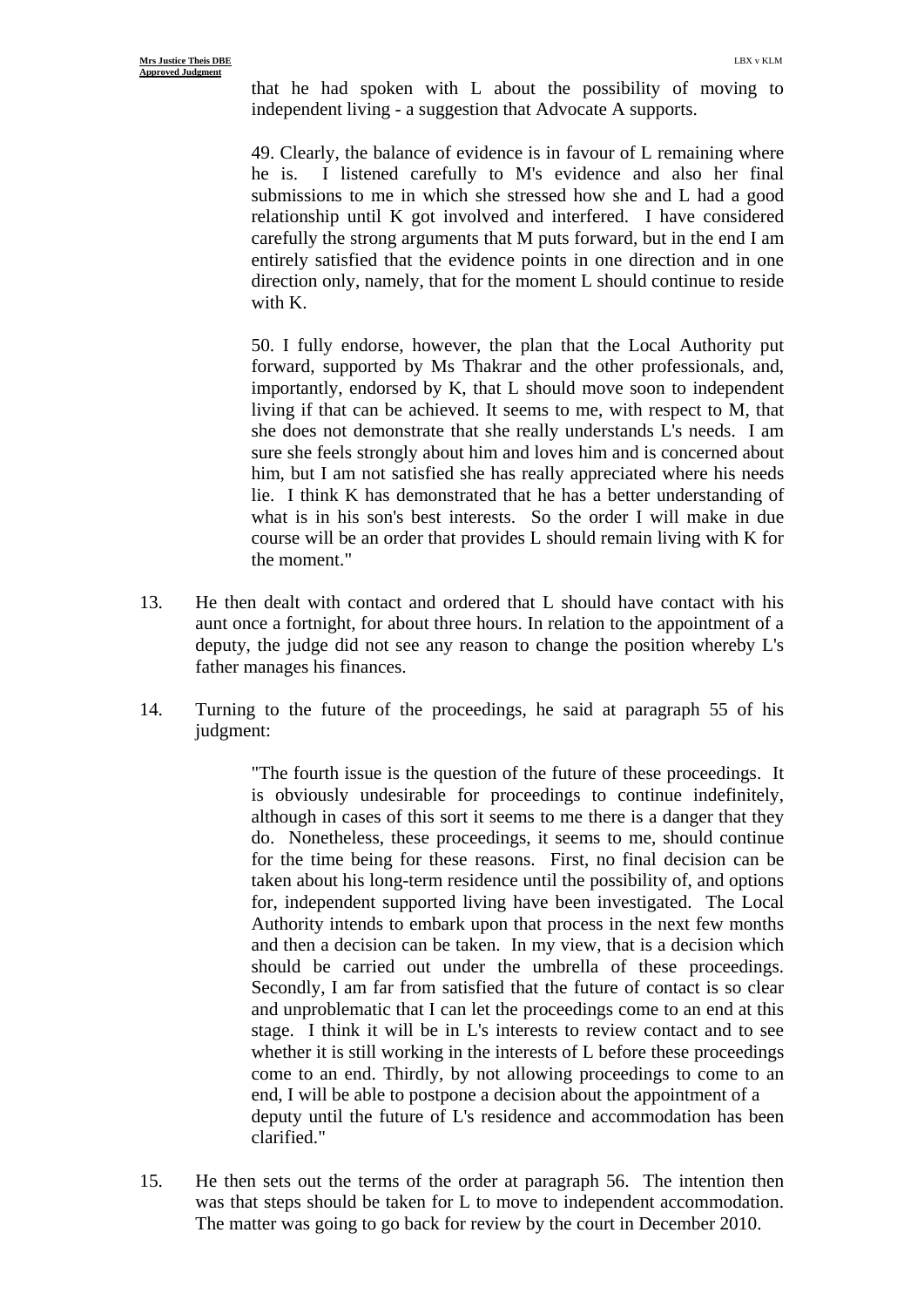that he had spoken with L about the possibility of moving to independent living - a suggestion that Advocate A supports.

49. Clearly, the balance of evidence is in favour of L remaining where he is. I listened carefully to M's evidence and also her final submissions to me in which she stressed how she and L had a good relationship until K got involved and interfered. I have considered carefully the strong arguments that M puts forward, but in the end I am entirely satisfied that the evidence points in one direction and in one direction only, namely, that for the moment L should continue to reside with K.

50. I fully endorse, however, the plan that the Local Authority put forward, supported by Ms Thakrar and the other professionals, and, importantly, endorsed by K, that L should move soon to independent living if that can be achieved. It seems to me, with respect to M, that she does not demonstrate that she really understands L's needs. I am sure she feels strongly about him and loves him and is concerned about him, but I am not satisfied she has really appreciated where his needs lie. I think K has demonstrated that he has a better understanding of what is in his son's best interests. So the order I will make in due course will be an order that provides L should remain living with K for the moment."

- 13. He then dealt with contact and ordered that L should have contact with his aunt once a fortnight, for about three hours. In relation to the appointment of a deputy, the judge did not see any reason to change the position whereby L's father manages his finances.
- 14. Turning to the future of the proceedings, he said at paragraph 55 of his judgment:

"The fourth issue is the question of the future of these proceedings. It is obviously undesirable for proceedings to continue indefinitely, although in cases of this sort it seems to me there is a danger that they do. Nonetheless, these proceedings, it seems to me, should continue for the time being for these reasons. First, no final decision can be taken about his long-term residence until the possibility of, and options for, independent supported living have been investigated. The Local Authority intends to embark upon that process in the next few months and then a decision can be taken. In my view, that is a decision which should be carried out under the umbrella of these proceedings. Secondly, I am far from satisfied that the future of contact is so clear and unproblematic that I can let the proceedings come to an end at this stage. I think it will be in L's interests to review contact and to see whether it is still working in the interests of L before these proceedings come to an end. Thirdly, by not allowing proceedings to come to an end, I will be able to postpone a decision about the appointment of a deputy until the future of L's residence and accommodation has been clarified."

15. He then sets out the terms of the order at paragraph 56. The intention then was that steps should be taken for L to move to independent accommodation. The matter was going to go back for review by the court in December 2010.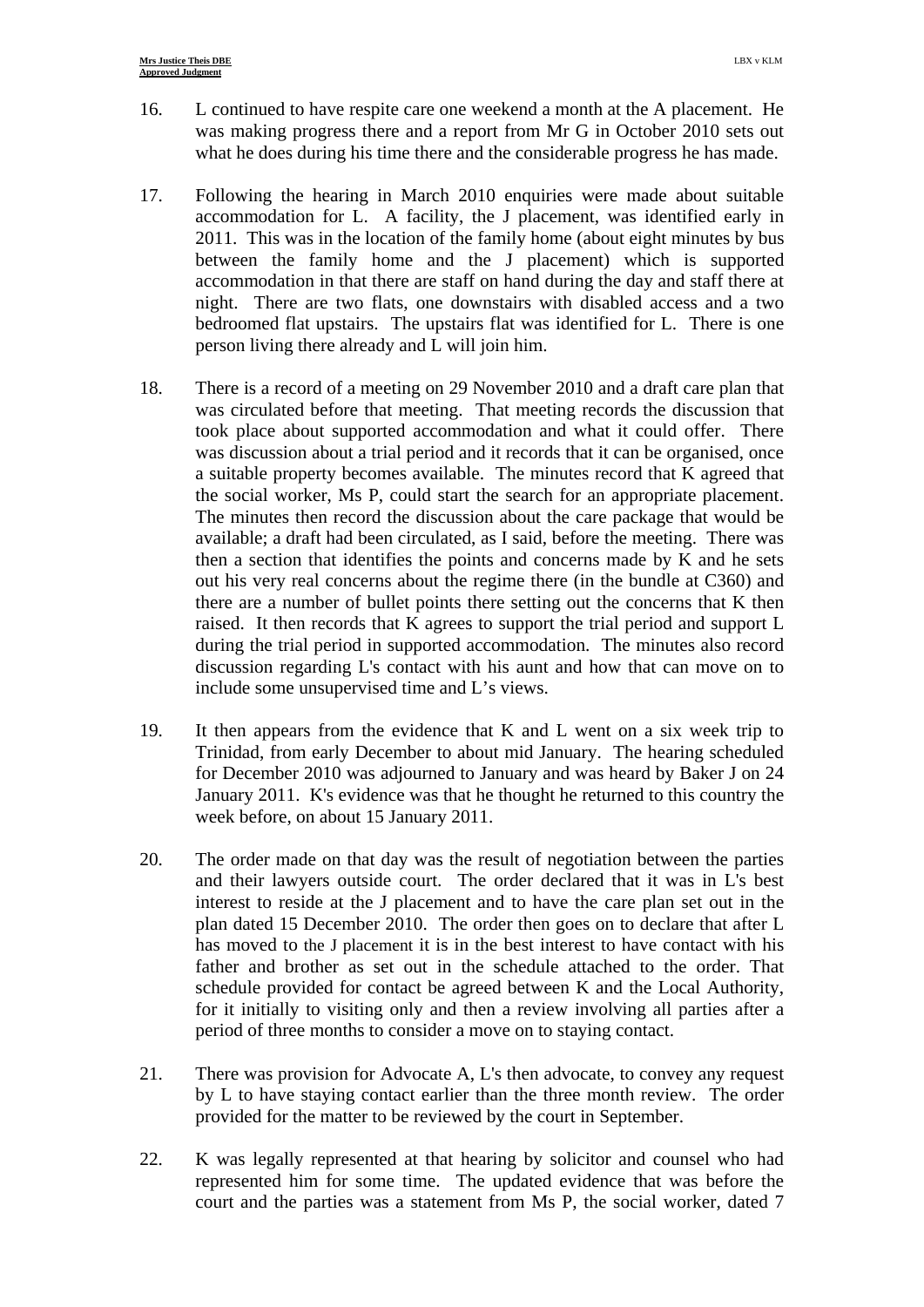- 16. L continued to have respite care one weekend a month at the A placement. He was making progress there and a report from Mr G in October 2010 sets out what he does during his time there and the considerable progress he has made.
- 17. Following the hearing in March 2010 enquiries were made about suitable accommodation for L. A facility, the J placement, was identified early in 2011. This was in the location of the family home (about eight minutes by bus between the family home and the J placement) which is supported accommodation in that there are staff on hand during the day and staff there at night. There are two flats, one downstairs with disabled access and a two bedroomed flat upstairs. The upstairs flat was identified for L. There is one person living there already and L will join him.
- 18. There is a record of a meeting on 29 November 2010 and a draft care plan that was circulated before that meeting. That meeting records the discussion that took place about supported accommodation and what it could offer. There was discussion about a trial period and it records that it can be organised, once a suitable property becomes available. The minutes record that K agreed that the social worker, Ms P, could start the search for an appropriate placement. The minutes then record the discussion about the care package that would be available; a draft had been circulated, as I said, before the meeting. There was then a section that identifies the points and concerns made by K and he sets out his very real concerns about the regime there (in the bundle at C360) and there are a number of bullet points there setting out the concerns that K then raised. It then records that K agrees to support the trial period and support L during the trial period in supported accommodation. The minutes also record discussion regarding L's contact with his aunt and how that can move on to include some unsupervised time and L's views.
- 19. It then appears from the evidence that K and L went on a six week trip to Trinidad, from early December to about mid January. The hearing scheduled for December 2010 was adjourned to January and was heard by Baker J on 24 January 2011. K's evidence was that he thought he returned to this country the week before, on about 15 January 2011.
- 20. The order made on that day was the result of negotiation between the parties and their lawyers outside court. The order declared that it was in L's best interest to reside at the J placement and to have the care plan set out in the plan dated 15 December 2010. The order then goes on to declare that after L has moved to the J placement it is in the best interest to have contact with his father and brother as set out in the schedule attached to the order. That schedule provided for contact be agreed between K and the Local Authority, for it initially to visiting only and then a review involving all parties after a period of three months to consider a move on to staying contact.
- 21. There was provision for Advocate A, L's then advocate, to convey any request by L to have staying contact earlier than the three month review. The order provided for the matter to be reviewed by the court in September.
- 22. K was legally represented at that hearing by solicitor and counsel who had represented him for some time. The updated evidence that was before the court and the parties was a statement from Ms P, the social worker, dated 7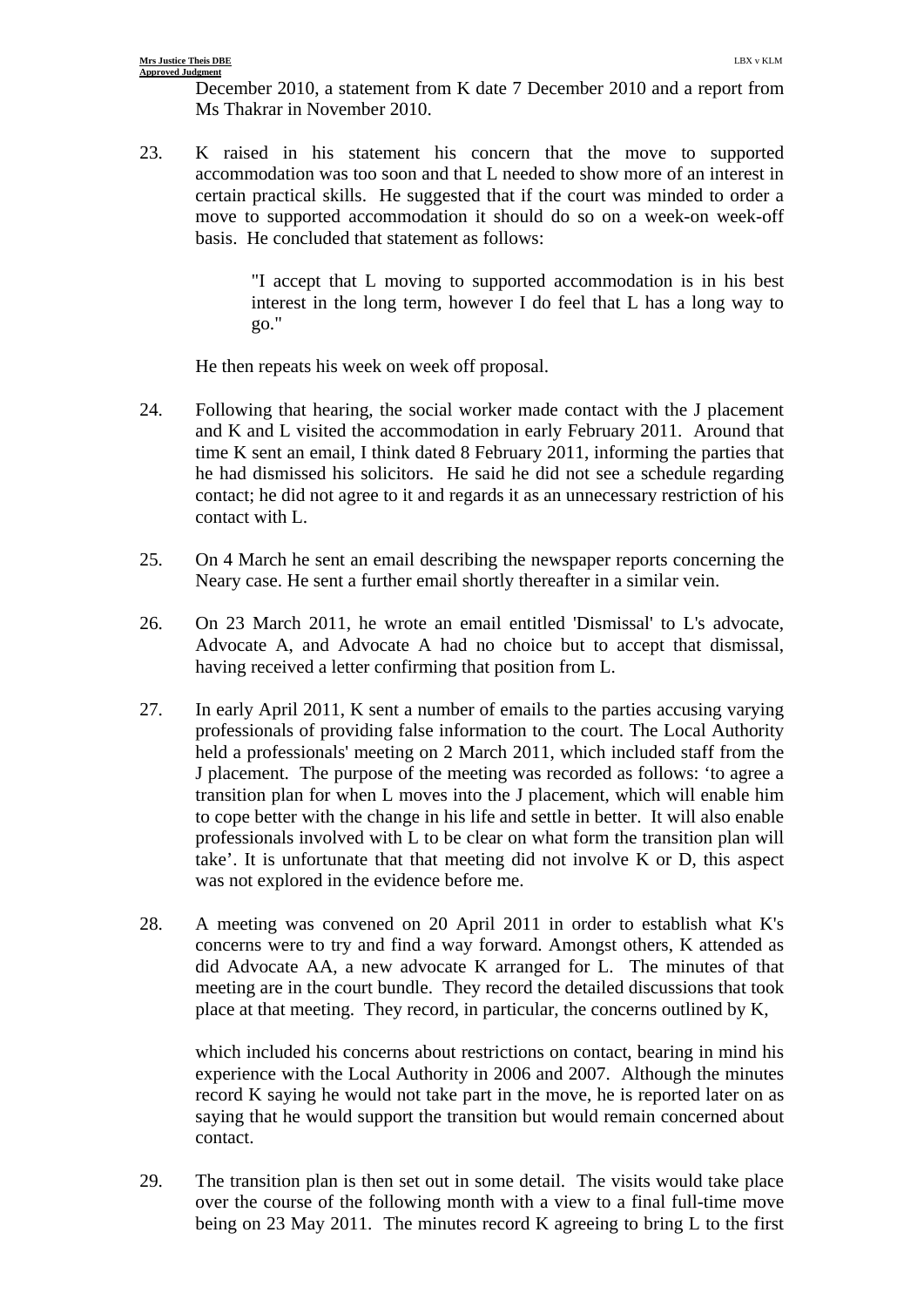December 2010, a statement from K date 7 December 2010 and a report from Ms Thakrar in November 2010.

23. K raised in his statement his concern that the move to supported accommodation was too soon and that L needed to show more of an interest in certain practical skills. He suggested that if the court was minded to order a move to supported accommodation it should do so on a week-on week-off basis. He concluded that statement as follows:

> "I accept that L moving to supported accommodation is in his best interest in the long term, however I do feel that L has a long way to go."

He then repeats his week on week off proposal.

- 24. Following that hearing, the social worker made contact with the J placement and K and L visited the accommodation in early February 2011. Around that time K sent an email, I think dated 8 February 2011, informing the parties that he had dismissed his solicitors. He said he did not see a schedule regarding contact; he did not agree to it and regards it as an unnecessary restriction of his contact with L.
- 25. On 4 March he sent an email describing the newspaper reports concerning the Neary case. He sent a further email shortly thereafter in a similar vein.
- 26. On 23 March 2011, he wrote an email entitled 'Dismissal' to L's advocate, Advocate A, and Advocate A had no choice but to accept that dismissal, having received a letter confirming that position from L.
- 27. In early April 2011, K sent a number of emails to the parties accusing varying professionals of providing false information to the court. The Local Authority held a professionals' meeting on 2 March 2011, which included staff from the J placement. The purpose of the meeting was recorded as follows: 'to agree a transition plan for when L moves into the J placement, which will enable him to cope better with the change in his life and settle in better. It will also enable professionals involved with L to be clear on what form the transition plan will take'. It is unfortunate that that meeting did not involve K or D, this aspect was not explored in the evidence before me.
- 28. A meeting was convened on 20 April 2011 in order to establish what K's concerns were to try and find a way forward. Amongst others, K attended as did Advocate AA, a new advocate K arranged for L. The minutes of that meeting are in the court bundle. They record the detailed discussions that took place at that meeting. They record, in particular, the concerns outlined by K,

 which included his concerns about restrictions on contact, bearing in mind his experience with the Local Authority in 2006 and 2007. Although the minutes record K saying he would not take part in the move, he is reported later on as saying that he would support the transition but would remain concerned about contact.

29. The transition plan is then set out in some detail. The visits would take place over the course of the following month with a view to a final full-time move being on 23 May 2011. The minutes record K agreeing to bring L to the first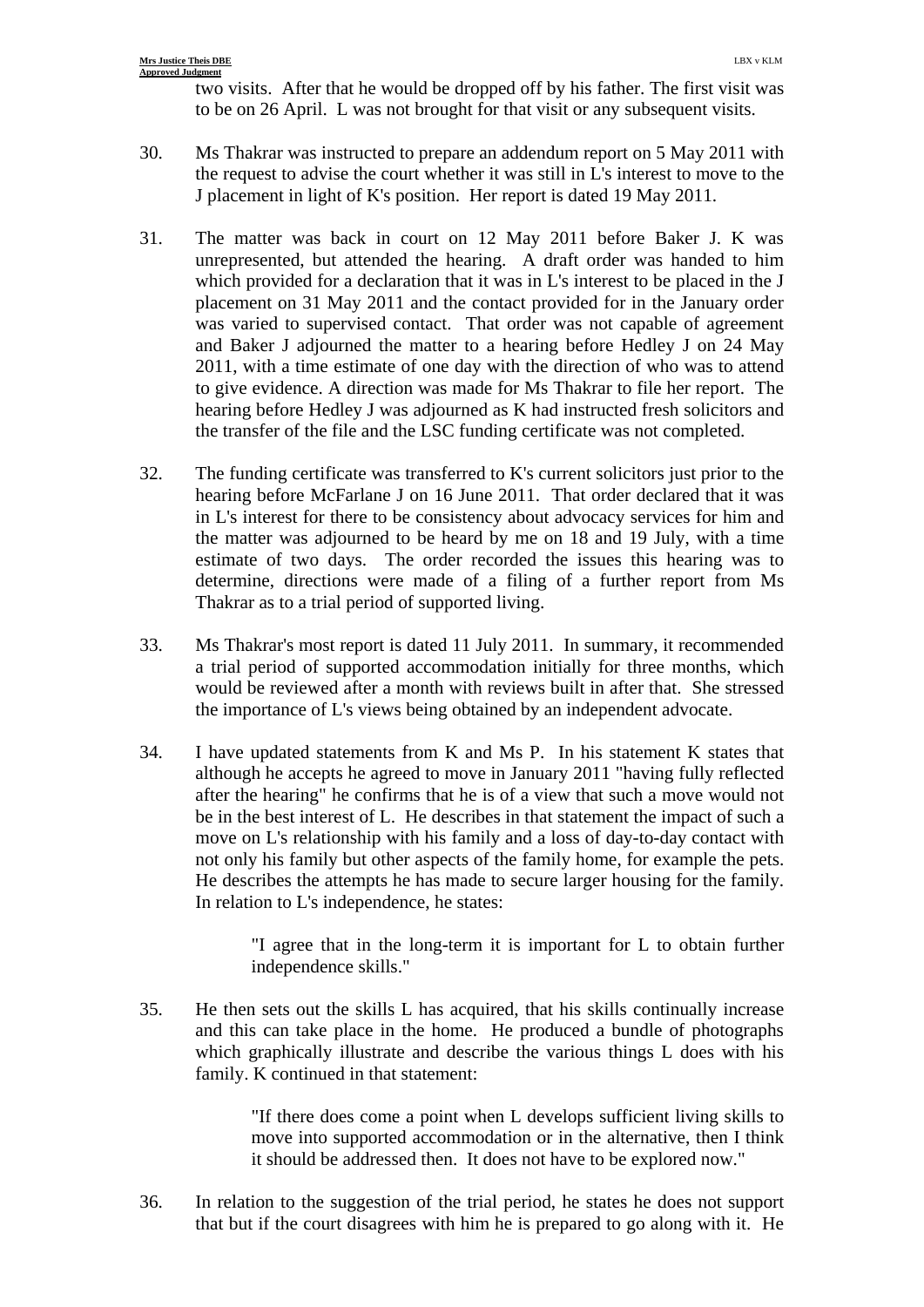two visits. After that he would be dropped off by his father. The first visit was to be on 26 April. L was not brought for that visit or any subsequent visits.

- 30. Ms Thakrar was instructed to prepare an addendum report on 5 May 2011 with the request to advise the court whether it was still in L's interest to move to the J placement in light of K's position. Her report is dated 19 May 2011.
- 31. The matter was back in court on 12 May 2011 before Baker J. K was unrepresented, but attended the hearing. A draft order was handed to him which provided for a declaration that it was in L's interest to be placed in the J placement on 31 May 2011 and the contact provided for in the January order was varied to supervised contact. That order was not capable of agreement and Baker J adjourned the matter to a hearing before Hedley J on 24 May 2011, with a time estimate of one day with the direction of who was to attend to give evidence. A direction was made for Ms Thakrar to file her report. The hearing before Hedley J was adjourned as K had instructed fresh solicitors and the transfer of the file and the LSC funding certificate was not completed.
- 32. The funding certificate was transferred to K's current solicitors just prior to the hearing before McFarlane J on 16 June 2011. That order declared that it was in L's interest for there to be consistency about advocacy services for him and the matter was adjourned to be heard by me on 18 and 19 July, with a time estimate of two days. The order recorded the issues this hearing was to determine, directions were made of a filing of a further report from Ms Thakrar as to a trial period of supported living.
- 33. Ms Thakrar's most report is dated 11 July 2011. In summary, it recommended a trial period of supported accommodation initially for three months, which would be reviewed after a month with reviews built in after that. She stressed the importance of L's views being obtained by an independent advocate.
- 34. I have updated statements from K and Ms P. In his statement K states that although he accepts he agreed to move in January 2011 "having fully reflected after the hearing" he confirms that he is of a view that such a move would not be in the best interest of L. He describes in that statement the impact of such a move on L's relationship with his family and a loss of day-to-day contact with not only his family but other aspects of the family home, for example the pets. He describes the attempts he has made to secure larger housing for the family. In relation to L's independence, he states:

"I agree that in the long-term it is important for L to obtain further independence skills."

35. He then sets out the skills L has acquired, that his skills continually increase and this can take place in the home. He produced a bundle of photographs which graphically illustrate and describe the various things L does with his family. K continued in that statement:

> "If there does come a point when L develops sufficient living skills to move into supported accommodation or in the alternative, then I think it should be addressed then. It does not have to be explored now."

36. In relation to the suggestion of the trial period, he states he does not support that but if the court disagrees with him he is prepared to go along with it. He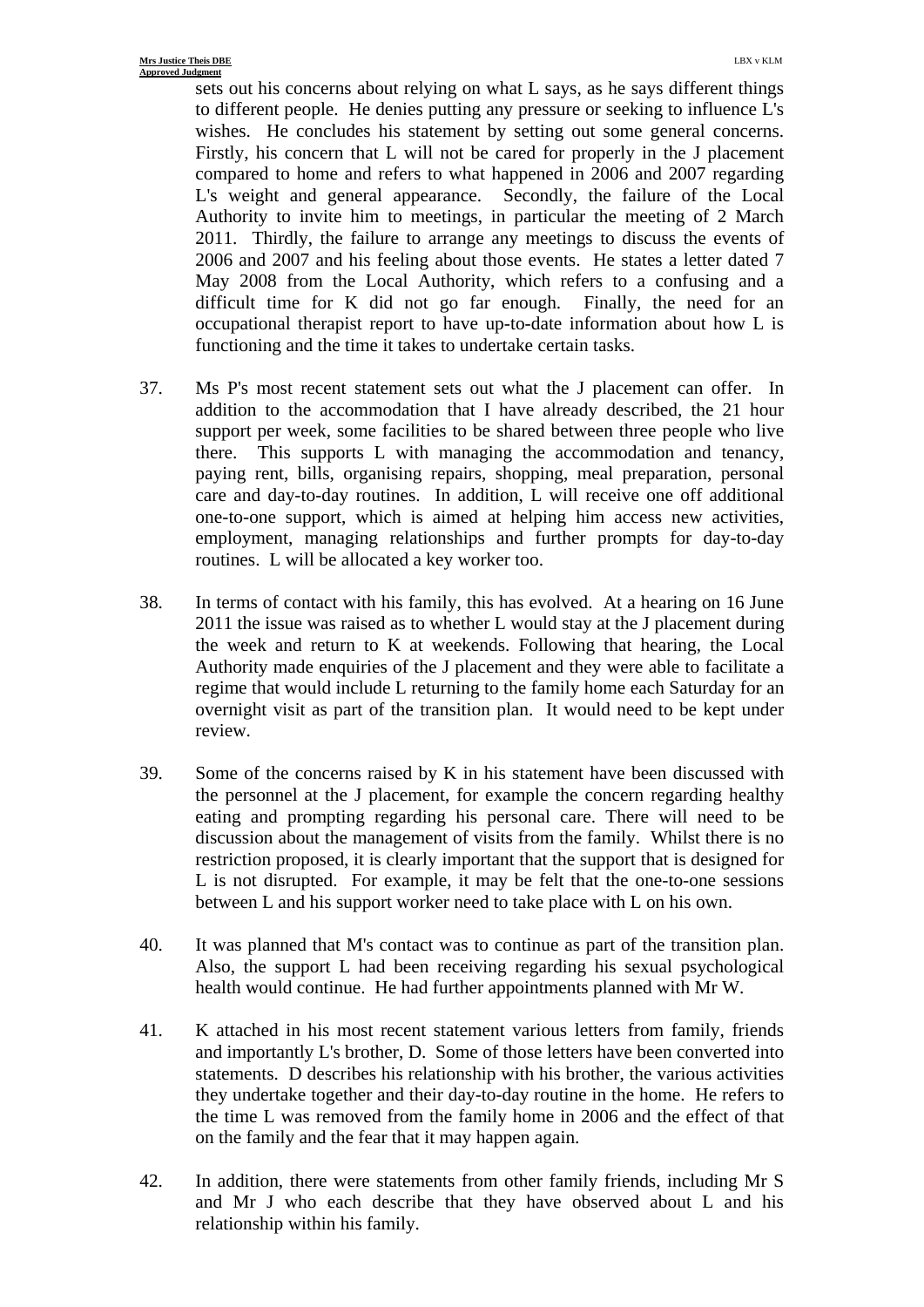sets out his concerns about relying on what L says, as he says different things to different people. He denies putting any pressure or seeking to influence L's wishes. He concludes his statement by setting out some general concerns. Firstly, his concern that L will not be cared for properly in the J placement compared to home and refers to what happened in 2006 and 2007 regarding L's weight and general appearance. Secondly, the failure of the Local Authority to invite him to meetings, in particular the meeting of 2 March 2011. Thirdly, the failure to arrange any meetings to discuss the events of 2006 and 2007 and his feeling about those events. He states a letter dated 7 May 2008 from the Local Authority, which refers to a confusing and a difficult time for K did not go far enough. Finally, the need for an occupational therapist report to have up-to-date information about how L is functioning and the time it takes to undertake certain tasks.

- 37. Ms P's most recent statement sets out what the J placement can offer. In addition to the accommodation that I have already described, the 21 hour support per week, some facilities to be shared between three people who live there. This supports L with managing the accommodation and tenancy, paying rent, bills, organising repairs, shopping, meal preparation, personal care and day-to-day routines. In addition, L will receive one off additional one-to-one support, which is aimed at helping him access new activities, employment, managing relationships and further prompts for day-to-day routines. L will be allocated a key worker too.
- 38. In terms of contact with his family, this has evolved. At a hearing on 16 June 2011 the issue was raised as to whether L would stay at the J placement during the week and return to K at weekends. Following that hearing, the Local Authority made enquiries of the J placement and they were able to facilitate a regime that would include L returning to the family home each Saturday for an overnight visit as part of the transition plan. It would need to be kept under review.
- 39. Some of the concerns raised by K in his statement have been discussed with the personnel at the J placement, for example the concern regarding healthy eating and prompting regarding his personal care. There will need to be discussion about the management of visits from the family. Whilst there is no restriction proposed, it is clearly important that the support that is designed for L is not disrupted. For example, it may be felt that the one-to-one sessions between L and his support worker need to take place with L on his own.
- 40. It was planned that M's contact was to continue as part of the transition plan. Also, the support L had been receiving regarding his sexual psychological health would continue. He had further appointments planned with Mr W.
- 41. K attached in his most recent statement various letters from family, friends and importantly L's brother, D. Some of those letters have been converted into statements. D describes his relationship with his brother, the various activities they undertake together and their day-to-day routine in the home. He refers to the time L was removed from the family home in 2006 and the effect of that on the family and the fear that it may happen again.
- 42. In addition, there were statements from other family friends, including Mr S and Mr J who each describe that they have observed about L and his relationship within his family.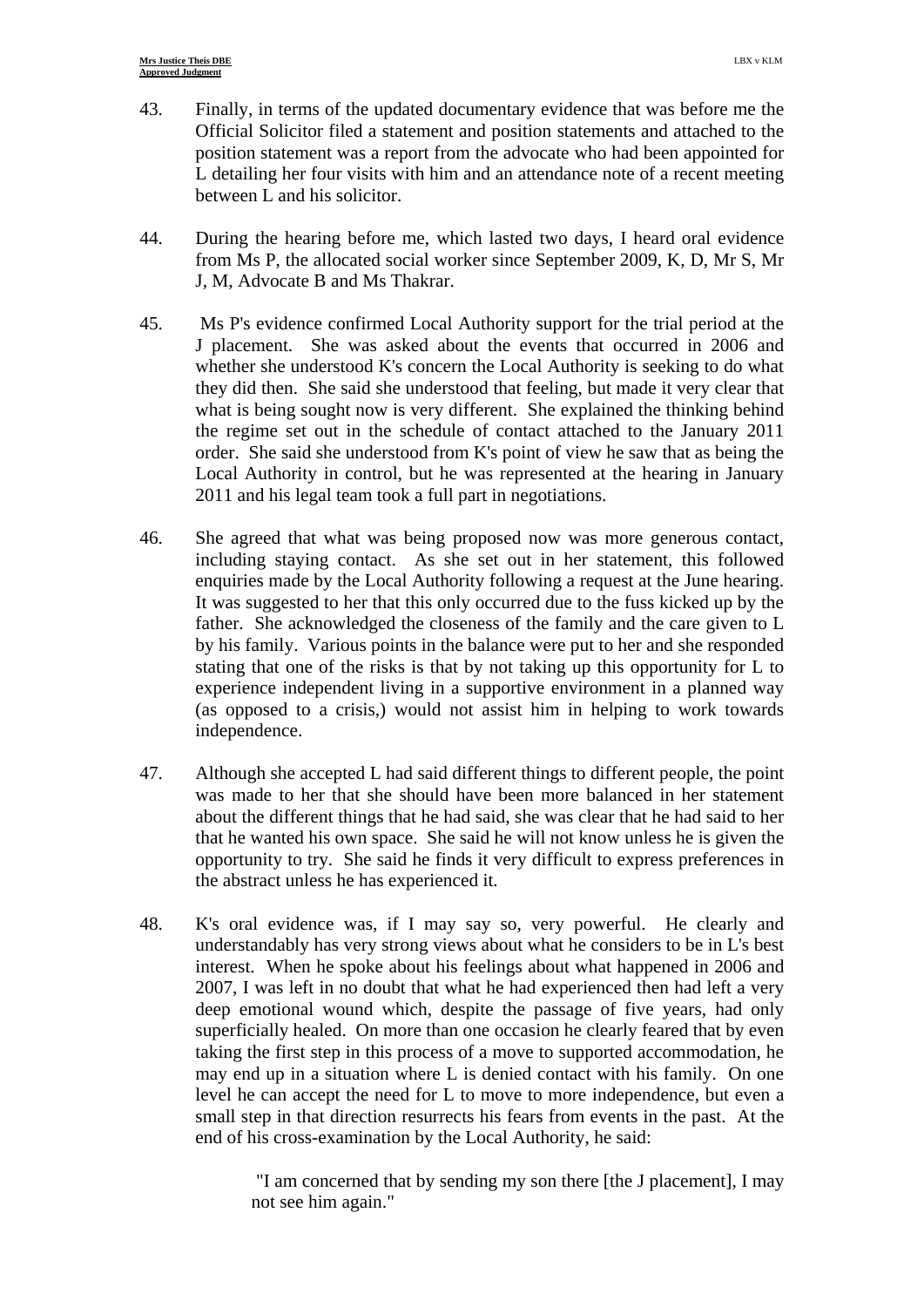- 43. Finally, in terms of the updated documentary evidence that was before me the Official Solicitor filed a statement and position statements and attached to the position statement was a report from the advocate who had been appointed for L detailing her four visits with him and an attendance note of a recent meeting between L and his solicitor.
- 44. During the hearing before me, which lasted two days, I heard oral evidence from Ms P, the allocated social worker since September 2009, K, D, Mr S, Mr J, M, Advocate B and Ms Thakrar.
- 45. Ms P's evidence confirmed Local Authority support for the trial period at the J placement. She was asked about the events that occurred in 2006 and whether she understood K's concern the Local Authority is seeking to do what they did then. She said she understood that feeling, but made it very clear that what is being sought now is very different. She explained the thinking behind the regime set out in the schedule of contact attached to the January 2011 order. She said she understood from K's point of view he saw that as being the Local Authority in control, but he was represented at the hearing in January 2011 and his legal team took a full part in negotiations.
- 46. She agreed that what was being proposed now was more generous contact, including staying contact. As she set out in her statement, this followed enquiries made by the Local Authority following a request at the June hearing. It was suggested to her that this only occurred due to the fuss kicked up by the father. She acknowledged the closeness of the family and the care given to L by his family. Various points in the balance were put to her and she responded stating that one of the risks is that by not taking up this opportunity for L to experience independent living in a supportive environment in a planned way (as opposed to a crisis,) would not assist him in helping to work towards independence.
- 47. Although she accepted L had said different things to different people, the point was made to her that she should have been more balanced in her statement about the different things that he had said, she was clear that he had said to her that he wanted his own space. She said he will not know unless he is given the opportunity to try. She said he finds it very difficult to express preferences in the abstract unless he has experienced it.
- 48. K's oral evidence was, if I may say so, very powerful. He clearly and understandably has very strong views about what he considers to be in L's best interest. When he spoke about his feelings about what happened in 2006 and 2007, I was left in no doubt that what he had experienced then had left a very deep emotional wound which, despite the passage of five years, had only superficially healed. On more than one occasion he clearly feared that by even taking the first step in this process of a move to supported accommodation, he may end up in a situation where L is denied contact with his family. On one level he can accept the need for L to move to more independence, but even a small step in that direction resurrects his fears from events in the past. At the end of his cross-examination by the Local Authority, he said:

 "I am concerned that by sending my son there [the J placement], I may not see him again."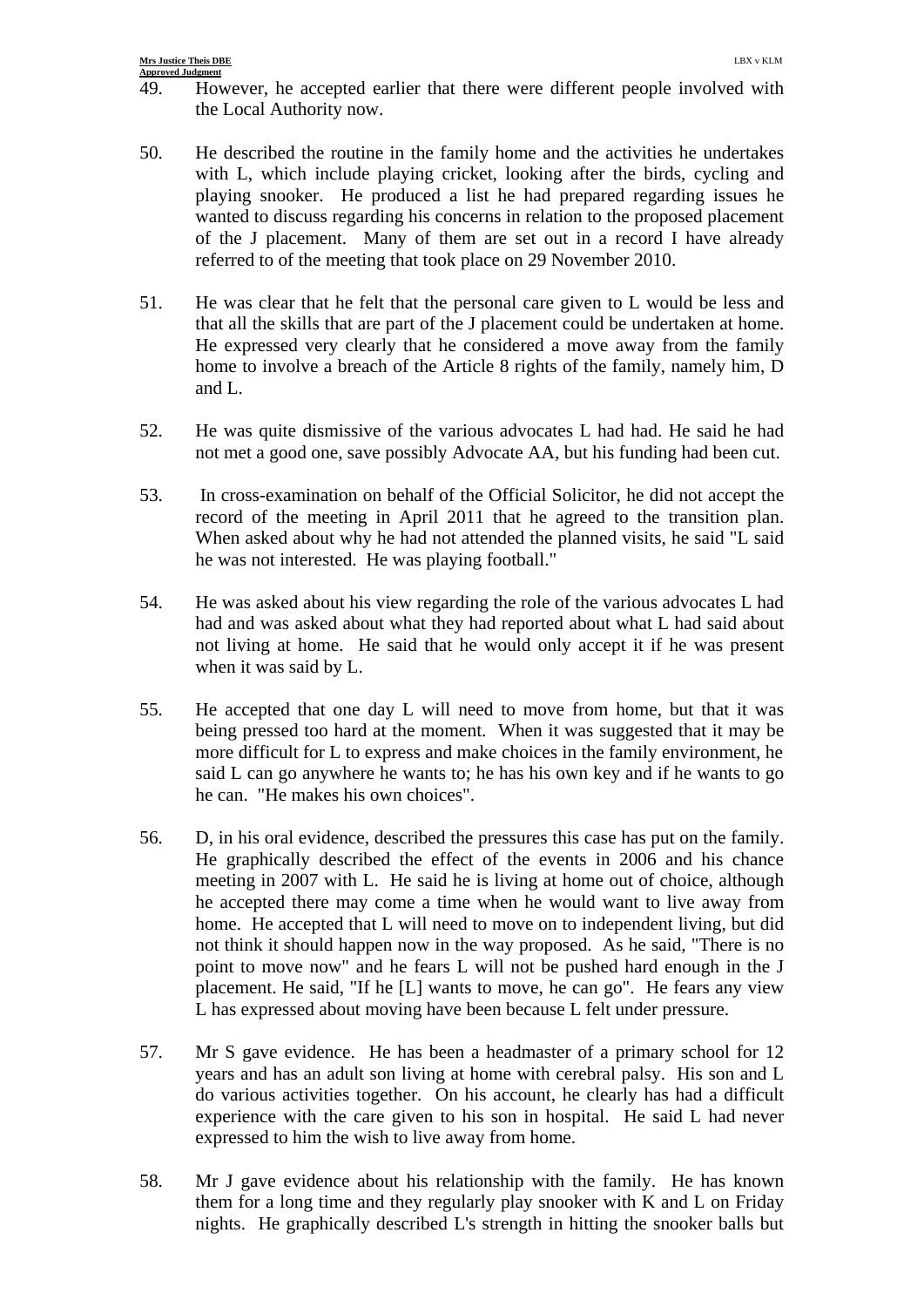- 49. However, he accepted earlier that there were different people involved with the Local Authority now.
- 50. He described the routine in the family home and the activities he undertakes with L, which include playing cricket, looking after the birds, cycling and playing snooker. He produced a list he had prepared regarding issues he wanted to discuss regarding his concerns in relation to the proposed placement of the J placement. Many of them are set out in a record I have already referred to of the meeting that took place on 29 November 2010.
- 51. He was clear that he felt that the personal care given to L would be less and that all the skills that are part of the J placement could be undertaken at home. He expressed very clearly that he considered a move away from the family home to involve a breach of the Article 8 rights of the family, namely him, D and L.
- 52. He was quite dismissive of the various advocates L had had. He said he had not met a good one, save possibly Advocate AA, but his funding had been cut.
- 53. In cross-examination on behalf of the Official Solicitor, he did not accept the record of the meeting in April 2011 that he agreed to the transition plan. When asked about why he had not attended the planned visits, he said "L said he was not interested. He was playing football."
- 54. He was asked about his view regarding the role of the various advocates L had had and was asked about what they had reported about what L had said about not living at home. He said that he would only accept it if he was present when it was said by L.
- 55. He accepted that one day L will need to move from home, but that it was being pressed too hard at the moment. When it was suggested that it may be more difficult for L to express and make choices in the family environment, he said L can go anywhere he wants to; he has his own key and if he wants to go he can. "He makes his own choices".
- 56. D, in his oral evidence, described the pressures this case has put on the family. He graphically described the effect of the events in 2006 and his chance meeting in 2007 with L. He said he is living at home out of choice, although he accepted there may come a time when he would want to live away from home. He accepted that L will need to move on to independent living, but did not think it should happen now in the way proposed. As he said, "There is no point to move now" and he fears L will not be pushed hard enough in the J placement. He said, "If he [L] wants to move, he can go". He fears any view L has expressed about moving have been because L felt under pressure.
- 57. Mr S gave evidence. He has been a headmaster of a primary school for 12 years and has an adult son living at home with cerebral palsy. His son and L do various activities together. On his account, he clearly has had a difficult experience with the care given to his son in hospital. He said L had never expressed to him the wish to live away from home.
- 58. Mr J gave evidence about his relationship with the family. He has known them for a long time and they regularly play snooker with K and L on Friday nights. He graphically described L's strength in hitting the snooker balls but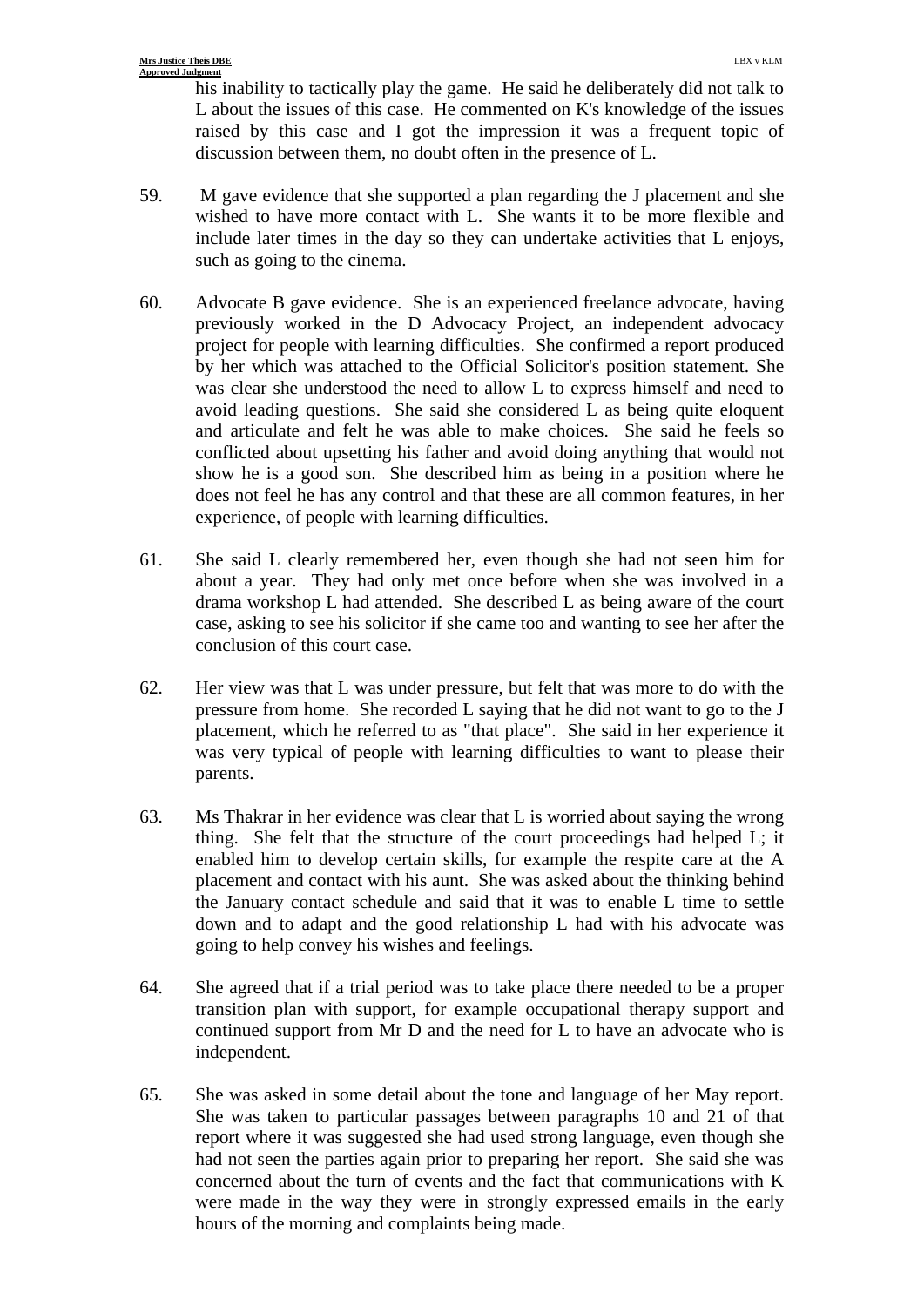his inability to tactically play the game. He said he deliberately did not talk to L about the issues of this case. He commented on K's knowledge of the issues raised by this case and I got the impression it was a frequent topic of discussion between them, no doubt often in the presence of L.

- 59. M gave evidence that she supported a plan regarding the J placement and she wished to have more contact with L. She wants it to be more flexible and include later times in the day so they can undertake activities that L enjoys, such as going to the cinema.
- 60. Advocate B gave evidence. She is an experienced freelance advocate, having previously worked in the D Advocacy Project, an independent advocacy project for people with learning difficulties. She confirmed a report produced by her which was attached to the Official Solicitor's position statement. She was clear she understood the need to allow L to express himself and need to avoid leading questions. She said she considered L as being quite eloquent and articulate and felt he was able to make choices. She said he feels so conflicted about upsetting his father and avoid doing anything that would not show he is a good son. She described him as being in a position where he does not feel he has any control and that these are all common features, in her experience, of people with learning difficulties.
- 61. She said L clearly remembered her, even though she had not seen him for about a year. They had only met once before when she was involved in a drama workshop L had attended. She described L as being aware of the court case, asking to see his solicitor if she came too and wanting to see her after the conclusion of this court case.
- 62. Her view was that L was under pressure, but felt that was more to do with the pressure from home. She recorded L saying that he did not want to go to the J placement, which he referred to as "that place". She said in her experience it was very typical of people with learning difficulties to want to please their parents.
- 63. Ms Thakrar in her evidence was clear that L is worried about saying the wrong thing. She felt that the structure of the court proceedings had helped L; it enabled him to develop certain skills, for example the respite care at the A placement and contact with his aunt. She was asked about the thinking behind the January contact schedule and said that it was to enable L time to settle down and to adapt and the good relationship L had with his advocate was going to help convey his wishes and feelings.
- 64. She agreed that if a trial period was to take place there needed to be a proper transition plan with support, for example occupational therapy support and continued support from Mr D and the need for L to have an advocate who is independent.
- 65. She was asked in some detail about the tone and language of her May report. She was taken to particular passages between paragraphs 10 and 21 of that report where it was suggested she had used strong language, even though she had not seen the parties again prior to preparing her report. She said she was concerned about the turn of events and the fact that communications with K were made in the way they were in strongly expressed emails in the early hours of the morning and complaints being made.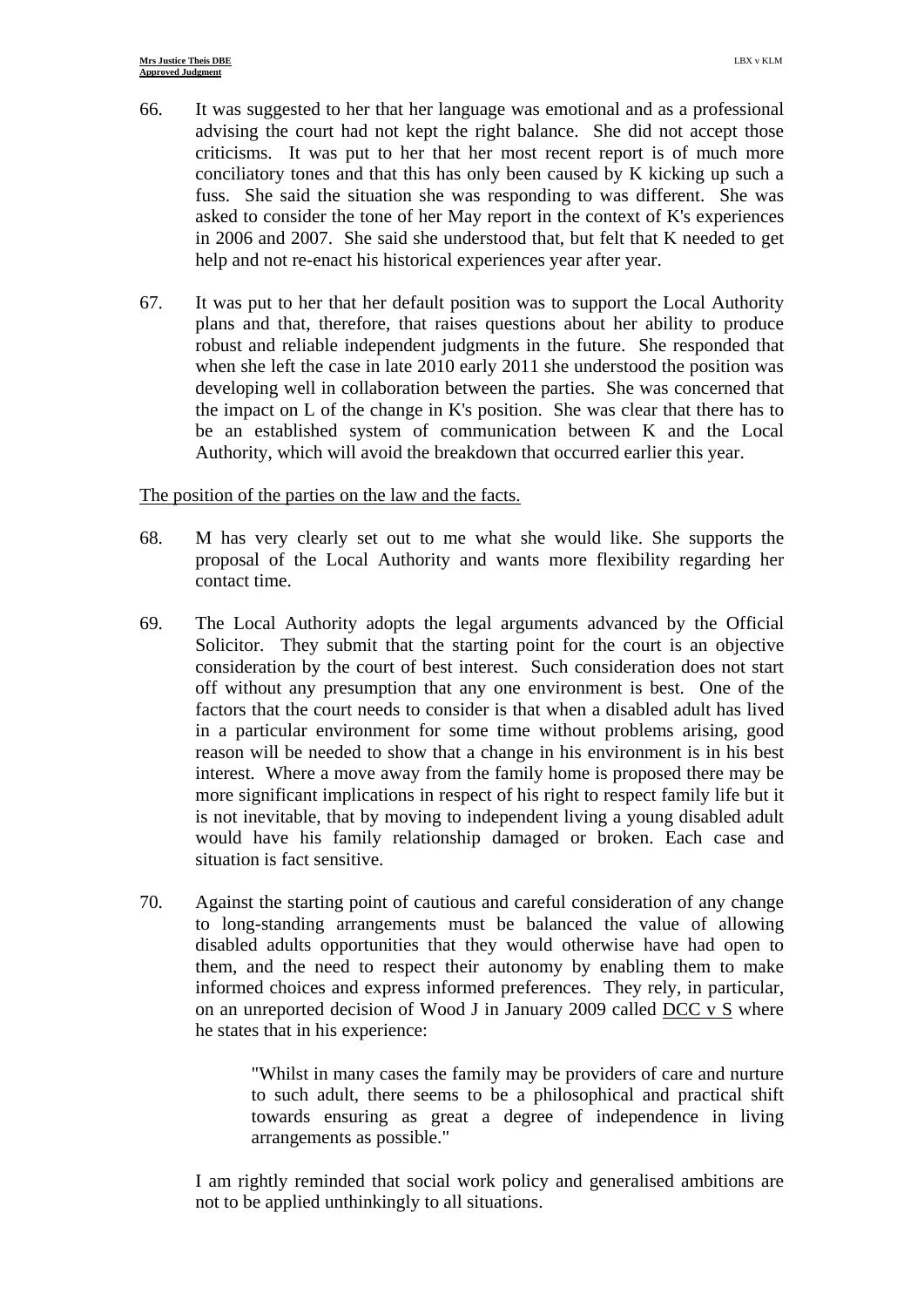- 66. It was suggested to her that her language was emotional and as a professional advising the court had not kept the right balance. She did not accept those criticisms. It was put to her that her most recent report is of much more conciliatory tones and that this has only been caused by K kicking up such a fuss. She said the situation she was responding to was different. She was asked to consider the tone of her May report in the context of K's experiences in 2006 and 2007. She said she understood that, but felt that K needed to get help and not re-enact his historical experiences year after year.
- 67. It was put to her that her default position was to support the Local Authority plans and that, therefore, that raises questions about her ability to produce robust and reliable independent judgments in the future. She responded that when she left the case in late 2010 early 2011 she understood the position was developing well in collaboration between the parties. She was concerned that the impact on L of the change in K's position. She was clear that there has to be an established system of communication between K and the Local Authority, which will avoid the breakdown that occurred earlier this year.

# The position of the parties on the law and the facts.

- 68. M has very clearly set out to me what she would like. She supports the proposal of the Local Authority and wants more flexibility regarding her contact time.
- 69. The Local Authority adopts the legal arguments advanced by the Official Solicitor. They submit that the starting point for the court is an objective consideration by the court of best interest. Such consideration does not start off without any presumption that any one environment is best. One of the factors that the court needs to consider is that when a disabled adult has lived in a particular environment for some time without problems arising, good reason will be needed to show that a change in his environment is in his best interest. Where a move away from the family home is proposed there may be more significant implications in respect of his right to respect family life but it is not inevitable, that by moving to independent living a young disabled adult would have his family relationship damaged or broken. Each case and situation is fact sensitive.
- 70. Against the starting point of cautious and careful consideration of any change to long-standing arrangements must be balanced the value of allowing disabled adults opportunities that they would otherwise have had open to them, and the need to respect their autonomy by enabling them to make informed choices and express informed preferences. They rely, in particular, on an unreported decision of Wood J in January 2009 called DCC v S where he states that in his experience:

"Whilst in many cases the family may be providers of care and nurture to such adult, there seems to be a philosophical and practical shift towards ensuring as great a degree of independence in living arrangements as possible."

I am rightly reminded that social work policy and generalised ambitions are not to be applied unthinkingly to all situations.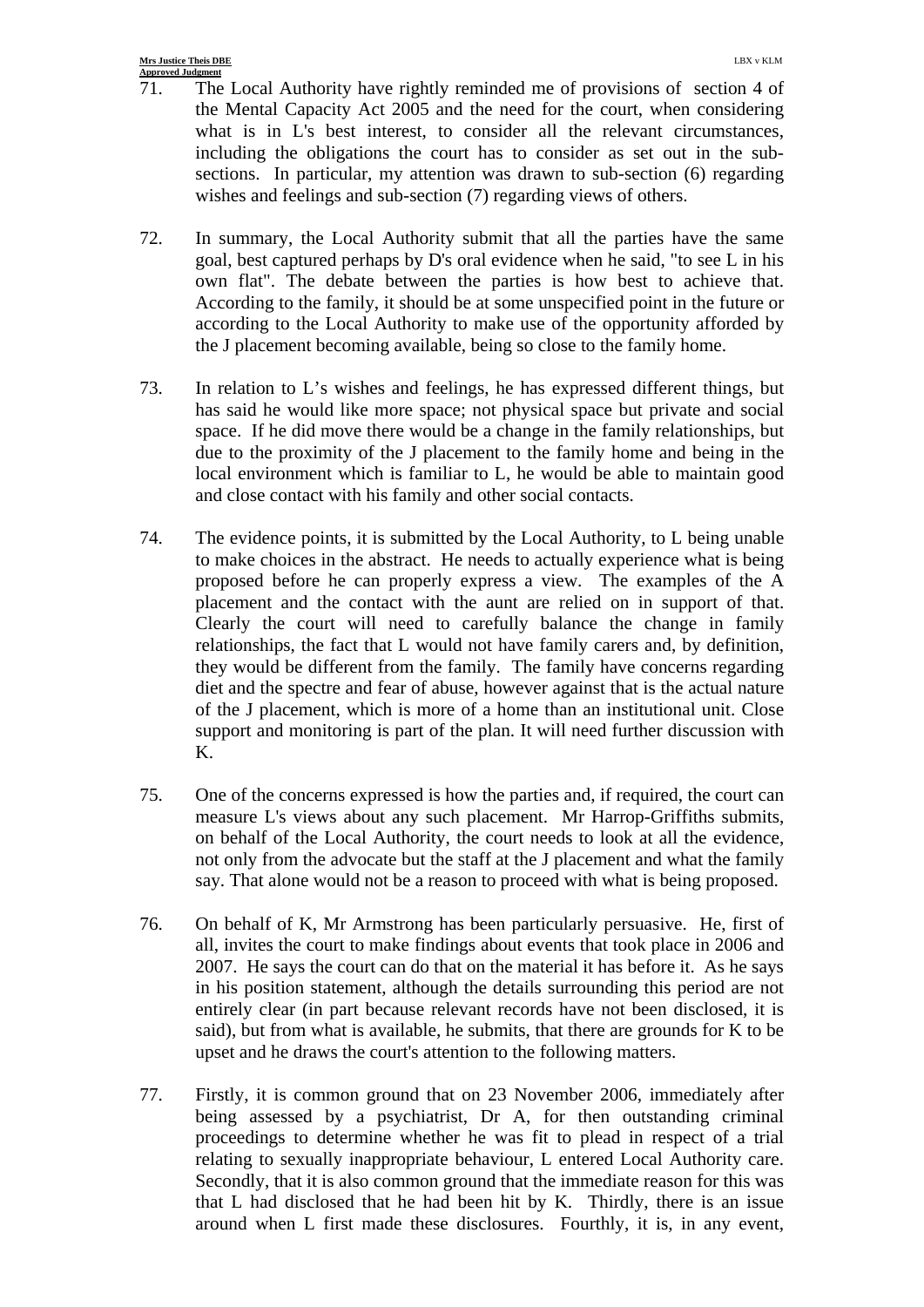- 71. The Local Authority have rightly reminded me of provisions of section 4 of the Mental Capacity Act 2005 and the need for the court, when considering what is in L's best interest, to consider all the relevant circumstances, including the obligations the court has to consider as set out in the subsections. In particular, my attention was drawn to sub-section (6) regarding wishes and feelings and sub-section (7) regarding views of others.
- 72. In summary, the Local Authority submit that all the parties have the same goal, best captured perhaps by D's oral evidence when he said, "to see L in his own flat". The debate between the parties is how best to achieve that. According to the family, it should be at some unspecified point in the future or according to the Local Authority to make use of the opportunity afforded by the J placement becoming available, being so close to the family home.
- 73. In relation to L's wishes and feelings, he has expressed different things, but has said he would like more space; not physical space but private and social space. If he did move there would be a change in the family relationships, but due to the proximity of the J placement to the family home and being in the local environment which is familiar to L, he would be able to maintain good and close contact with his family and other social contacts.
- 74. The evidence points, it is submitted by the Local Authority, to L being unable to make choices in the abstract. He needs to actually experience what is being proposed before he can properly express a view. The examples of the A placement and the contact with the aunt are relied on in support of that. Clearly the court will need to carefully balance the change in family relationships, the fact that L would not have family carers and, by definition, they would be different from the family. The family have concerns regarding diet and the spectre and fear of abuse, however against that is the actual nature of the J placement, which is more of a home than an institutional unit. Close support and monitoring is part of the plan. It will need further discussion with K.
- 75. One of the concerns expressed is how the parties and, if required, the court can measure L's views about any such placement. Mr Harrop-Griffiths submits, on behalf of the Local Authority, the court needs to look at all the evidence, not only from the advocate but the staff at the J placement and what the family say. That alone would not be a reason to proceed with what is being proposed.
- 76. On behalf of K, Mr Armstrong has been particularly persuasive. He, first of all, invites the court to make findings about events that took place in 2006 and 2007. He says the court can do that on the material it has before it. As he says in his position statement, although the details surrounding this period are not entirely clear (in part because relevant records have not been disclosed, it is said), but from what is available, he submits, that there are grounds for K to be upset and he draws the court's attention to the following matters.
- 77. Firstly, it is common ground that on 23 November 2006, immediately after being assessed by a psychiatrist, Dr A, for then outstanding criminal proceedings to determine whether he was fit to plead in respect of a trial relating to sexually inappropriate behaviour, L entered Local Authority care. Secondly, that it is also common ground that the immediate reason for this was that L had disclosed that he had been hit by K. Thirdly, there is an issue around when L first made these disclosures. Fourthly, it is, in any event,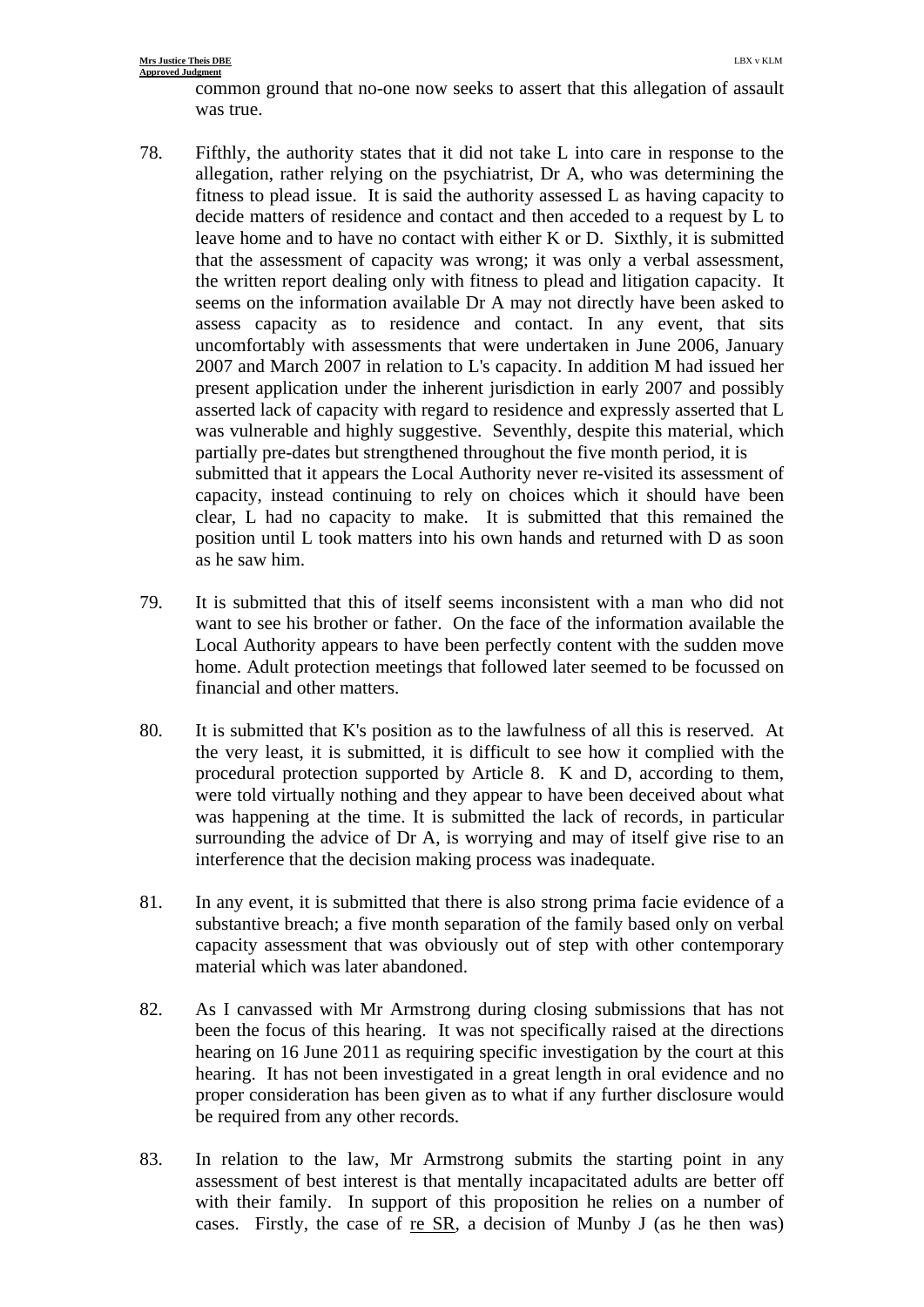#### **Mrs Justice Theis DBE** LBX v KLM **Approved Judgment**

common ground that no-one now seeks to assert that this allegation of assault was true.

- 78. Fifthly, the authority states that it did not take L into care in response to the allegation, rather relying on the psychiatrist, Dr A, who was determining the fitness to plead issue. It is said the authority assessed L as having capacity to decide matters of residence and contact and then acceded to a request by L to leave home and to have no contact with either K or D. Sixthly, it is submitted that the assessment of capacity was wrong; it was only a verbal assessment, the written report dealing only with fitness to plead and litigation capacity. It seems on the information available Dr A may not directly have been asked to assess capacity as to residence and contact. In any event, that sits uncomfortably with assessments that were undertaken in June 2006, January 2007 and March 2007 in relation to L's capacity. In addition M had issued her present application under the inherent jurisdiction in early 2007 and possibly asserted lack of capacity with regard to residence and expressly asserted that L was vulnerable and highly suggestive. Seventhly, despite this material, which partially pre-dates but strengthened throughout the five month period, it is submitted that it appears the Local Authority never re-visited its assessment of capacity, instead continuing to rely on choices which it should have been clear, L had no capacity to make. It is submitted that this remained the position until L took matters into his own hands and returned with D as soon as he saw him.
- 79. It is submitted that this of itself seems inconsistent with a man who did not want to see his brother or father. On the face of the information available the Local Authority appears to have been perfectly content with the sudden move home. Adult protection meetings that followed later seemed to be focussed on financial and other matters.
- 80. It is submitted that K's position as to the lawfulness of all this is reserved. At the very least, it is submitted, it is difficult to see how it complied with the procedural protection supported by Article 8. K and D, according to them, were told virtually nothing and they appear to have been deceived about what was happening at the time. It is submitted the lack of records, in particular surrounding the advice of Dr A, is worrying and may of itself give rise to an interference that the decision making process was inadequate.
- 81. In any event, it is submitted that there is also strong prima facie evidence of a substantive breach; a five month separation of the family based only on verbal capacity assessment that was obviously out of step with other contemporary material which was later abandoned.
- 82. As I canvassed with Mr Armstrong during closing submissions that has not been the focus of this hearing. It was not specifically raised at the directions hearing on 16 June 2011 as requiring specific investigation by the court at this hearing. It has not been investigated in a great length in oral evidence and no proper consideration has been given as to what if any further disclosure would be required from any other records.
- 83. In relation to the law, Mr Armstrong submits the starting point in any assessment of best interest is that mentally incapacitated adults are better off with their family. In support of this proposition he relies on a number of cases. Firstly, the case of re SR, a decision of Munby J (as he then was)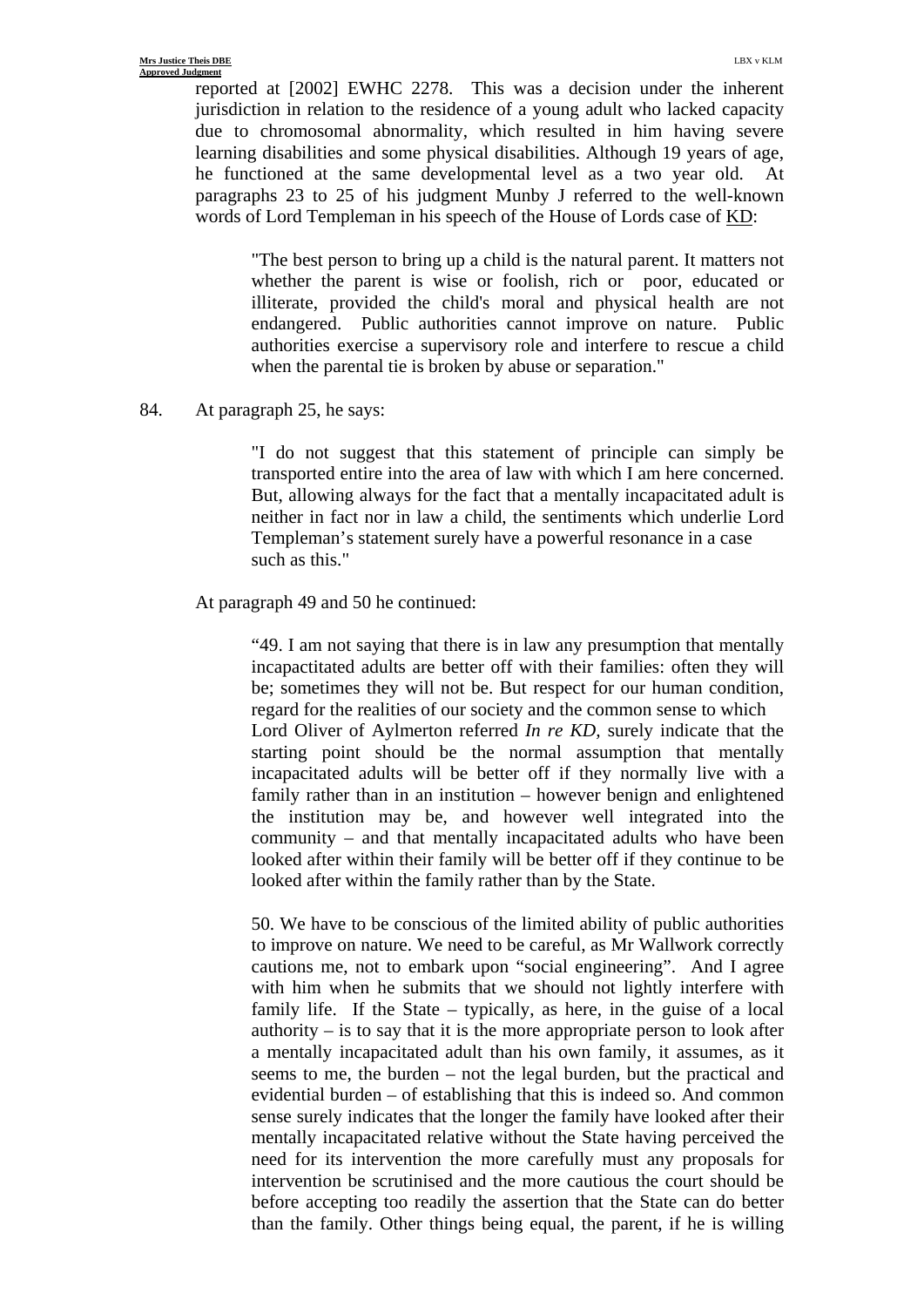reported at [2002] EWHC 2278. This was a decision under the inherent jurisdiction in relation to the residence of a young adult who lacked capacity due to chromosomal abnormality, which resulted in him having severe learning disabilities and some physical disabilities. Although 19 years of age, he functioned at the same developmental level as a two year old. At paragraphs 23 to 25 of his judgment Munby J referred to the well-known words of Lord Templeman in his speech of the House of Lords case of KD:

"The best person to bring up a child is the natural parent. It matters not whether the parent is wise or foolish, rich or poor, educated or illiterate, provided the child's moral and physical health are not endangered. Public authorities cannot improve on nature. Public authorities exercise a supervisory role and interfere to rescue a child when the parental tie is broken by abuse or separation."

#### 84. At paragraph 25, he says:

"I do not suggest that this statement of principle can simply be transported entire into the area of law with which I am here concerned. But, allowing always for the fact that a mentally incapacitated adult is neither in fact nor in law a child, the sentiments which underlie Lord Templeman's statement surely have a powerful resonance in a case such as this."

### At paragraph 49 and 50 he continued:

"49. I am not saying that there is in law any presumption that mentally incapactitated adults are better off with their families: often they will be; sometimes they will not be. But respect for our human condition, regard for the realities of our society and the common sense to which Lord Oliver of Aylmerton referred *In re KD,* surely indicate that the starting point should be the normal assumption that mentally incapacitated adults will be better off if they normally live with a family rather than in an institution – however benign and enlightened the institution may be, and however well integrated into the community – and that mentally incapacitated adults who have been looked after within their family will be better off if they continue to be looked after within the family rather than by the State.

50. We have to be conscious of the limited ability of public authorities to improve on nature. We need to be careful, as Mr Wallwork correctly cautions me, not to embark upon "social engineering". And I agree with him when he submits that we should not lightly interfere with family life. If the State – typically, as here, in the guise of a local authority  $-$  is to say that it is the more appropriate person to look after a mentally incapacitated adult than his own family, it assumes, as it seems to me, the burden – not the legal burden, but the practical and evidential burden – of establishing that this is indeed so. And common sense surely indicates that the longer the family have looked after their mentally incapacitated relative without the State having perceived the need for its intervention the more carefully must any proposals for intervention be scrutinised and the more cautious the court should be before accepting too readily the assertion that the State can do better than the family. Other things being equal, the parent, if he is willing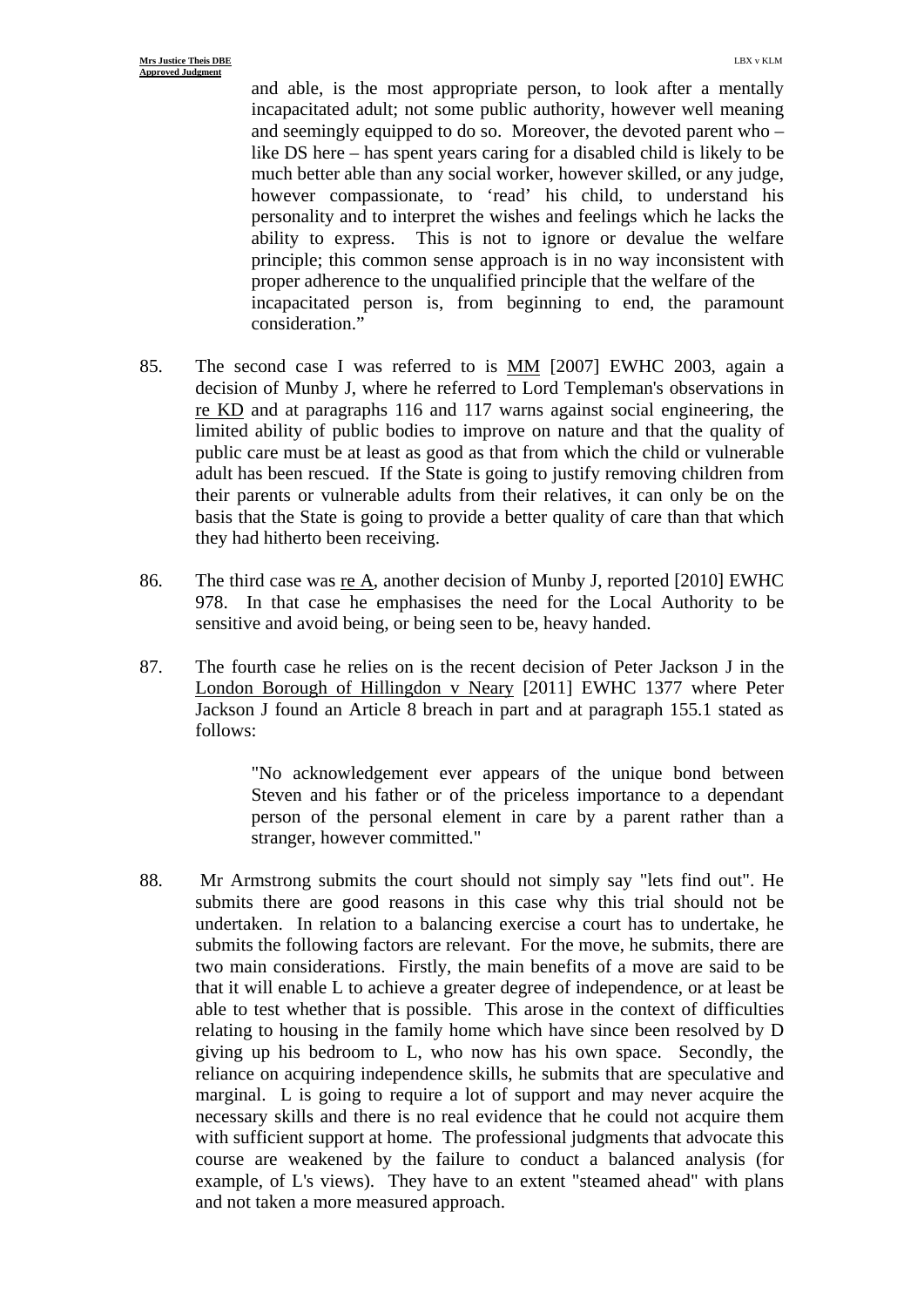and able, is the most appropriate person, to look after a mentally incapacitated adult; not some public authority, however well meaning and seemingly equipped to do so. Moreover, the devoted parent who – like DS here – has spent years caring for a disabled child is likely to be much better able than any social worker, however skilled, or any judge, however compassionate, to 'read' his child, to understand his personality and to interpret the wishes and feelings which he lacks the ability to express. This is not to ignore or devalue the welfare principle; this common sense approach is in no way inconsistent with proper adherence to the unqualified principle that the welfare of the incapacitated person is, from beginning to end, the paramount consideration."

- 85. The second case I was referred to is MM [2007] EWHC 2003, again a decision of Munby J, where he referred to Lord Templeman's observations in re KD and at paragraphs 116 and 117 warns against social engineering, the limited ability of public bodies to improve on nature and that the quality of public care must be at least as good as that from which the child or vulnerable adult has been rescued. If the State is going to justify removing children from their parents or vulnerable adults from their relatives, it can only be on the basis that the State is going to provide a better quality of care than that which they had hitherto been receiving.
- 86. The third case was re A, another decision of Munby J, reported [2010] EWHC 978. In that case he emphasises the need for the Local Authority to be sensitive and avoid being, or being seen to be, heavy handed.
- 87. The fourth case he relies on is the recent decision of Peter Jackson J in the London Borough of Hillingdon v Neary [2011] EWHC 1377 where Peter Jackson J found an Article 8 breach in part and at paragraph 155.1 stated as follows:

"No acknowledgement ever appears of the unique bond between Steven and his father or of the priceless importance to a dependant person of the personal element in care by a parent rather than a stranger, however committed."

88. Mr Armstrong submits the court should not simply say "lets find out". He submits there are good reasons in this case why this trial should not be undertaken. In relation to a balancing exercise a court has to undertake, he submits the following factors are relevant. For the move, he submits, there are two main considerations. Firstly, the main benefits of a move are said to be that it will enable L to achieve a greater degree of independence, or at least be able to test whether that is possible. This arose in the context of difficulties relating to housing in the family home which have since been resolved by D giving up his bedroom to L, who now has his own space. Secondly, the reliance on acquiring independence skills, he submits that are speculative and marginal. L is going to require a lot of support and may never acquire the necessary skills and there is no real evidence that he could not acquire them with sufficient support at home. The professional judgments that advocate this course are weakened by the failure to conduct a balanced analysis (for example, of L's views). They have to an extent "steamed ahead" with plans and not taken a more measured approach.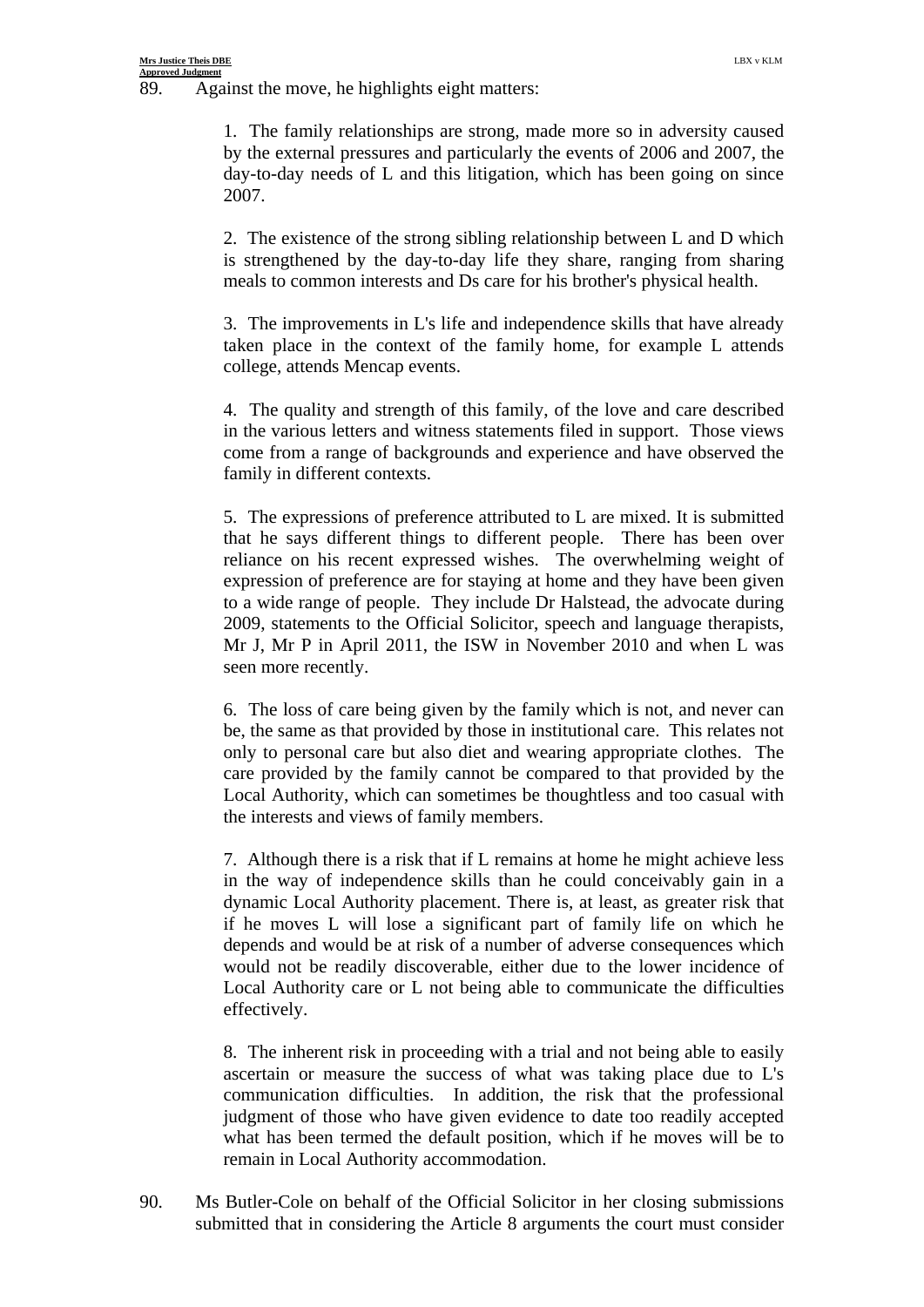89. Against the move, he highlights eight matters:

1. The family relationships are strong, made more so in adversity caused by the external pressures and particularly the events of 2006 and 2007, the day-to-day needs of L and this litigation, which has been going on since 2007.

2. The existence of the strong sibling relationship between L and D which is strengthened by the day-to-day life they share, ranging from sharing meals to common interests and Ds care for his brother's physical health.

3. The improvements in L's life and independence skills that have already taken place in the context of the family home, for example L attends college, attends Mencap events.

4. The quality and strength of this family, of the love and care described in the various letters and witness statements filed in support. Those views come from a range of backgrounds and experience and have observed the family in different contexts.

5. The expressions of preference attributed to L are mixed. It is submitted that he says different things to different people. There has been over reliance on his recent expressed wishes. The overwhelming weight of expression of preference are for staying at home and they have been given to a wide range of people. They include Dr Halstead, the advocate during 2009, statements to the Official Solicitor, speech and language therapists, Mr J, Mr P in April 2011, the ISW in November 2010 and when L was seen more recently.

6. The loss of care being given by the family which is not, and never can be, the same as that provided by those in institutional care. This relates not only to personal care but also diet and wearing appropriate clothes. The care provided by the family cannot be compared to that provided by the Local Authority, which can sometimes be thoughtless and too casual with the interests and views of family members.

7. Although there is a risk that if L remains at home he might achieve less in the way of independence skills than he could conceivably gain in a dynamic Local Authority placement. There is, at least, as greater risk that if he moves L will lose a significant part of family life on which he depends and would be at risk of a number of adverse consequences which would not be readily discoverable, either due to the lower incidence of Local Authority care or L not being able to communicate the difficulties effectively.

8. The inherent risk in proceeding with a trial and not being able to easily ascertain or measure the success of what was taking place due to L's communication difficulties. In addition, the risk that the professional judgment of those who have given evidence to date too readily accepted what has been termed the default position, which if he moves will be to remain in Local Authority accommodation.

90. Ms Butler-Cole on behalf of the Official Solicitor in her closing submissions submitted that in considering the Article 8 arguments the court must consider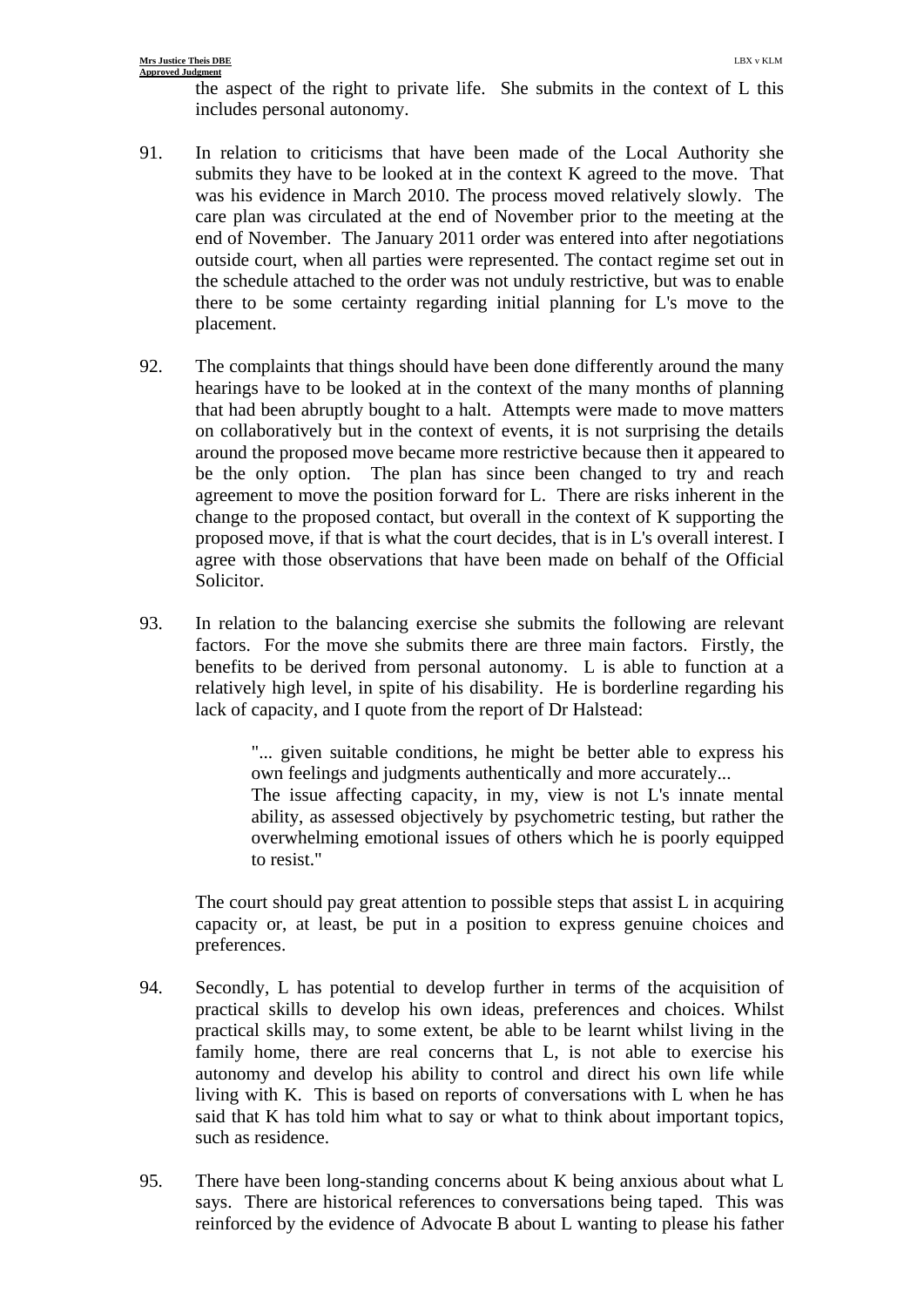the aspect of the right to private life. She submits in the context of L this includes personal autonomy.

- 91. In relation to criticisms that have been made of the Local Authority she submits they have to be looked at in the context K agreed to the move. That was his evidence in March 2010. The process moved relatively slowly. The care plan was circulated at the end of November prior to the meeting at the end of November. The January 2011 order was entered into after negotiations outside court, when all parties were represented. The contact regime set out in the schedule attached to the order was not unduly restrictive, but was to enable there to be some certainty regarding initial planning for L's move to the placement.
- 92. The complaints that things should have been done differently around the many hearings have to be looked at in the context of the many months of planning that had been abruptly bought to a halt. Attempts were made to move matters on collaboratively but in the context of events, it is not surprising the details around the proposed move became more restrictive because then it appeared to be the only option. The plan has since been changed to try and reach agreement to move the position forward for L. There are risks inherent in the change to the proposed contact, but overall in the context of K supporting the proposed move, if that is what the court decides, that is in L's overall interest. I agree with those observations that have been made on behalf of the Official Solicitor.
- 93. In relation to the balancing exercise she submits the following are relevant factors. For the move she submits there are three main factors. Firstly, the benefits to be derived from personal autonomy. L is able to function at a relatively high level, in spite of his disability. He is borderline regarding his lack of capacity, and I quote from the report of Dr Halstead:

"... given suitable conditions, he might be better able to express his own feelings and judgments authentically and more accurately... The issue affecting capacity, in my, view is not L's innate mental ability, as assessed objectively by psychometric testing, but rather the overwhelming emotional issues of others which he is poorly equipped to resist."

The court should pay great attention to possible steps that assist L in acquiring capacity or, at least, be put in a position to express genuine choices and preferences.

- 94. Secondly, L has potential to develop further in terms of the acquisition of practical skills to develop his own ideas, preferences and choices. Whilst practical skills may, to some extent, be able to be learnt whilst living in the family home, there are real concerns that L, is not able to exercise his autonomy and develop his ability to control and direct his own life while living with K. This is based on reports of conversations with L when he has said that K has told him what to say or what to think about important topics, such as residence.
- 95. There have been long-standing concerns about K being anxious about what L says. There are historical references to conversations being taped. This was reinforced by the evidence of Advocate B about L wanting to please his father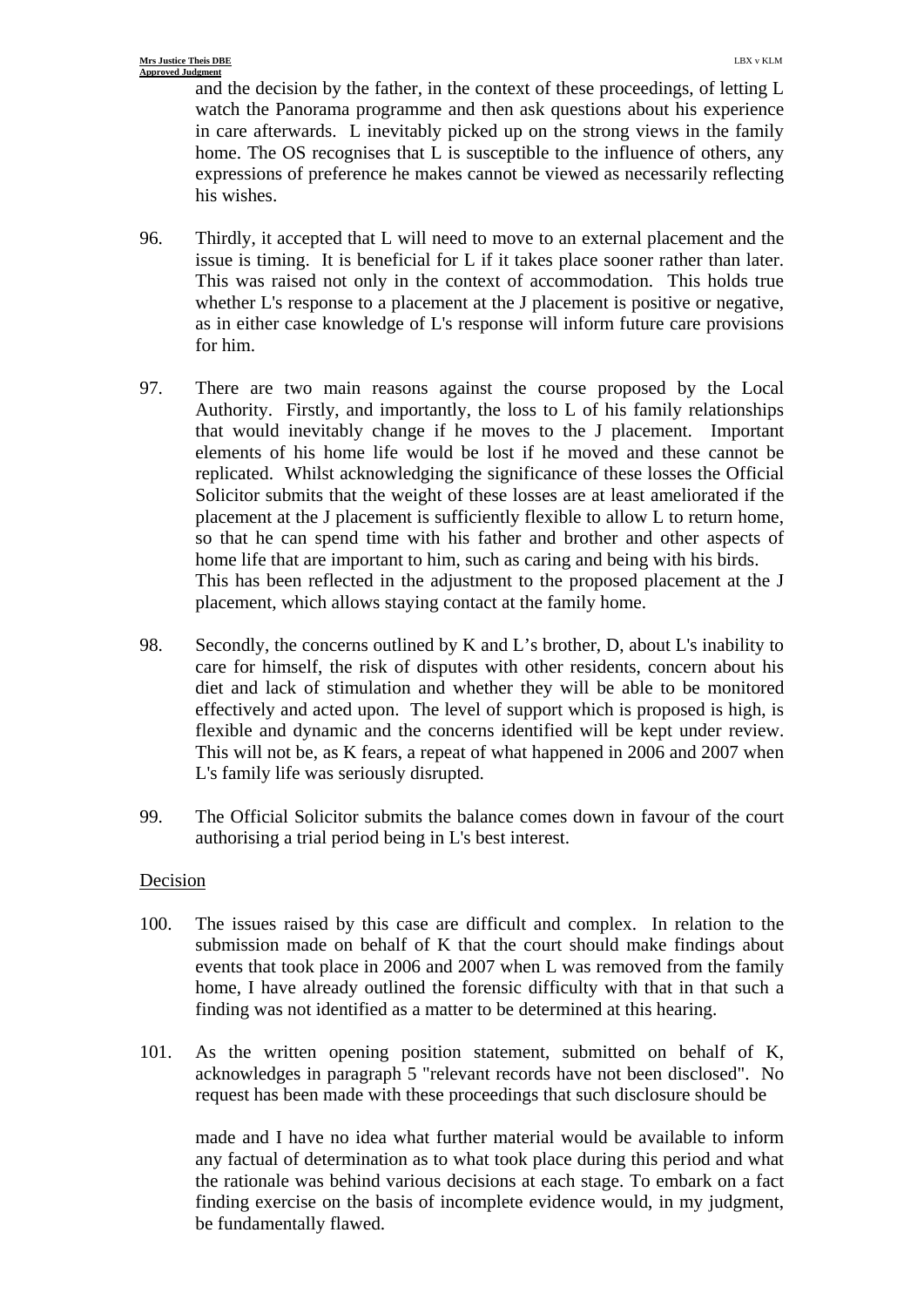and the decision by the father, in the context of these proceedings, of letting L watch the Panorama programme and then ask questions about his experience in care afterwards. L inevitably picked up on the strong views in the family home. The OS recognises that L is susceptible to the influence of others, any expressions of preference he makes cannot be viewed as necessarily reflecting his wishes.

- 96. Thirdly, it accepted that L will need to move to an external placement and the issue is timing. It is beneficial for L if it takes place sooner rather than later. This was raised not only in the context of accommodation. This holds true whether L's response to a placement at the J placement is positive or negative, as in either case knowledge of L's response will inform future care provisions for him.
- 97. There are two main reasons against the course proposed by the Local Authority. Firstly, and importantly, the loss to L of his family relationships that would inevitably change if he moves to the J placement. Important elements of his home life would be lost if he moved and these cannot be replicated. Whilst acknowledging the significance of these losses the Official Solicitor submits that the weight of these losses are at least ameliorated if the placement at the J placement is sufficiently flexible to allow L to return home, so that he can spend time with his father and brother and other aspects of home life that are important to him, such as caring and being with his birds. This has been reflected in the adjustment to the proposed placement at the J placement, which allows staying contact at the family home.
- 98. Secondly, the concerns outlined by K and L's brother, D, about L's inability to care for himself, the risk of disputes with other residents, concern about his diet and lack of stimulation and whether they will be able to be monitored effectively and acted upon. The level of support which is proposed is high, is flexible and dynamic and the concerns identified will be kept under review. This will not be, as K fears, a repeat of what happened in 2006 and 2007 when L's family life was seriously disrupted.
- 99. The Official Solicitor submits the balance comes down in favour of the court authorising a trial period being in L's best interest.

### Decision

- 100. The issues raised by this case are difficult and complex. In relation to the submission made on behalf of K that the court should make findings about events that took place in 2006 and 2007 when L was removed from the family home, I have already outlined the forensic difficulty with that in that such a finding was not identified as a matter to be determined at this hearing.
- 101. As the written opening position statement, submitted on behalf of K, acknowledges in paragraph 5 "relevant records have not been disclosed". No request has been made with these proceedings that such disclosure should be

 made and I have no idea what further material would be available to inform any factual of determination as to what took place during this period and what the rationale was behind various decisions at each stage. To embark on a fact finding exercise on the basis of incomplete evidence would, in my judgment, be fundamentally flawed.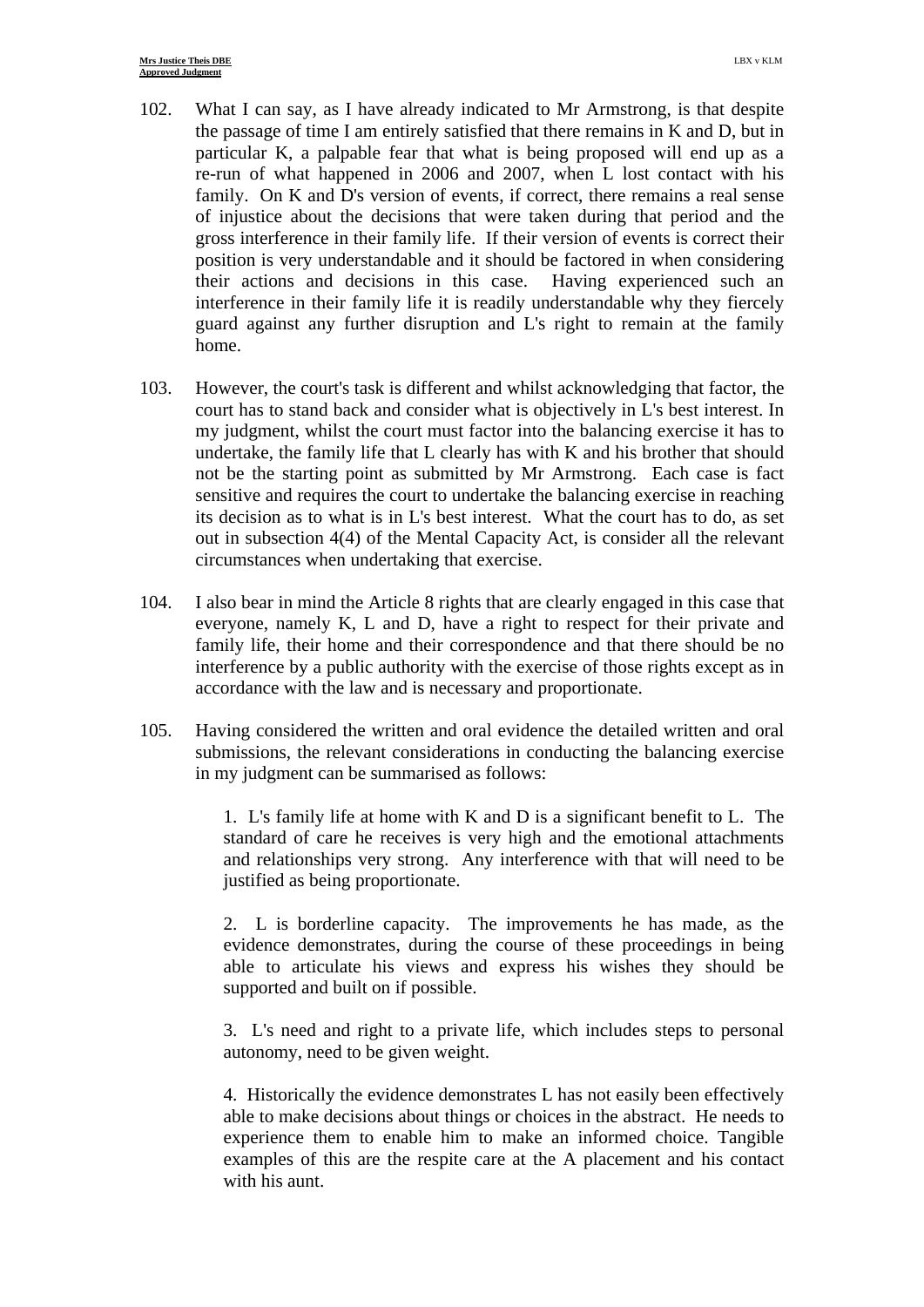- 102. What I can say, as I have already indicated to Mr Armstrong, is that despite the passage of time I am entirely satisfied that there remains in K and D, but in particular K, a palpable fear that what is being proposed will end up as a re-run of what happened in 2006 and 2007, when L lost contact with his family. On K and D's version of events, if correct, there remains a real sense of injustice about the decisions that were taken during that period and the gross interference in their family life. If their version of events is correct their position is very understandable and it should be factored in when considering their actions and decisions in this case. Having experienced such an interference in their family life it is readily understandable why they fiercely guard against any further disruption and L's right to remain at the family home.
- 103. However, the court's task is different and whilst acknowledging that factor, the court has to stand back and consider what is objectively in L's best interest. In my judgment, whilst the court must factor into the balancing exercise it has to undertake, the family life that L clearly has with K and his brother that should not be the starting point as submitted by Mr Armstrong. Each case is fact sensitive and requires the court to undertake the balancing exercise in reaching its decision as to what is in L's best interest. What the court has to do, as set out in subsection 4(4) of the Mental Capacity Act, is consider all the relevant circumstances when undertaking that exercise.
- 104. I also bear in mind the Article 8 rights that are clearly engaged in this case that everyone, namely K, L and D, have a right to respect for their private and family life, their home and their correspondence and that there should be no interference by a public authority with the exercise of those rights except as in accordance with the law and is necessary and proportionate.
- 105. Having considered the written and oral evidence the detailed written and oral submissions, the relevant considerations in conducting the balancing exercise in my judgment can be summarised as follows:

1. L's family life at home with K and D is a significant benefit to L. The standard of care he receives is very high and the emotional attachments and relationships very strong. Any interference with that will need to be justified as being proportionate.

2. L is borderline capacity. The improvements he has made, as the evidence demonstrates, during the course of these proceedings in being able to articulate his views and express his wishes they should be supported and built on if possible.

3. L's need and right to a private life, which includes steps to personal autonomy, need to be given weight.

4. Historically the evidence demonstrates L has not easily been effectively able to make decisions about things or choices in the abstract. He needs to experience them to enable him to make an informed choice. Tangible examples of this are the respite care at the A placement and his contact with his aunt.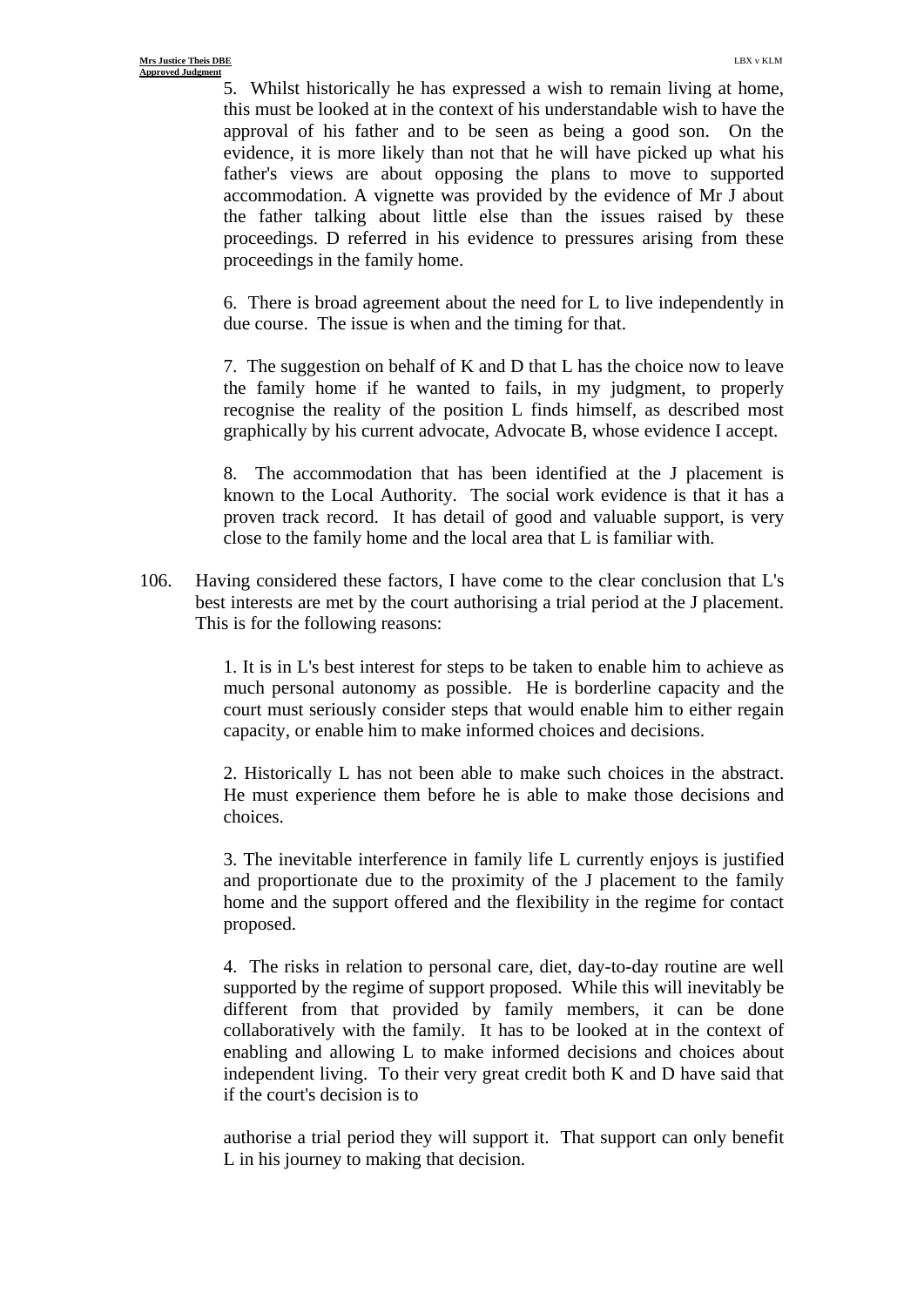5. Whilst historically he has expressed a wish to remain living at home, this must be looked at in the context of his understandable wish to have the approval of his father and to be seen as being a good son. On the evidence, it is more likely than not that he will have picked up what his father's views are about opposing the plans to move to supported accommodation. A vignette was provided by the evidence of Mr J about the father talking about little else than the issues raised by these proceedings. D referred in his evidence to pressures arising from these proceedings in the family home.

6. There is broad agreement about the need for L to live independently in due course. The issue is when and the timing for that.

7. The suggestion on behalf of K and D that L has the choice now to leave the family home if he wanted to fails, in my judgment, to properly recognise the reality of the position L finds himself, as described most graphically by his current advocate, Advocate B, whose evidence I accept.

8. The accommodation that has been identified at the J placement is known to the Local Authority. The social work evidence is that it has a proven track record. It has detail of good and valuable support, is very close to the family home and the local area that L is familiar with.

106. Having considered these factors, I have come to the clear conclusion that L's best interests are met by the court authorising a trial period at the J placement. This is for the following reasons:

> 1. It is in L's best interest for steps to be taken to enable him to achieve as much personal autonomy as possible. He is borderline capacity and the court must seriously consider steps that would enable him to either regain capacity, or enable him to make informed choices and decisions.

> 2. Historically L has not been able to make such choices in the abstract. He must experience them before he is able to make those decisions and choices.

> 3. The inevitable interference in family life L currently enjoys is justified and proportionate due to the proximity of the J placement to the family home and the support offered and the flexibility in the regime for contact proposed.

> 4. The risks in relation to personal care, diet, day-to-day routine are well supported by the regime of support proposed. While this will inevitably be different from that provided by family members, it can be done collaboratively with the family. It has to be looked at in the context of enabling and allowing L to make informed decisions and choices about independent living. To their very great credit both K and D have said that if the court's decision is to

> authorise a trial period they will support it. That support can only benefit L in his journey to making that decision.